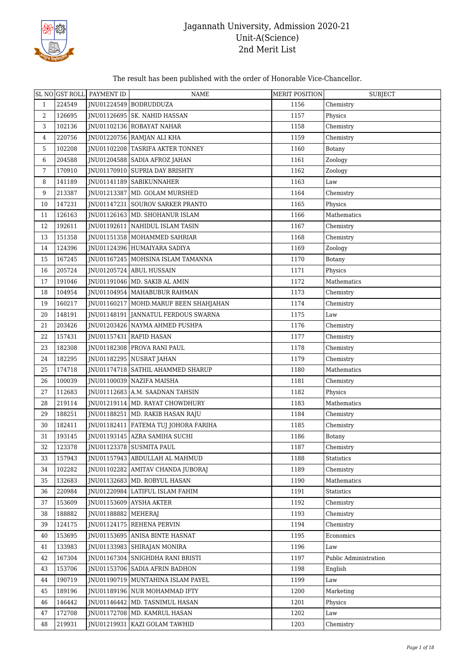

#### The result has been published with the order of Honorable Vice-Chancellor.

|                |        | SL NO GST ROLL PAYMENT ID | <b>NAME</b>                             | <b>MERIT POSITION</b> | <b>SUBJECT</b>        |
|----------------|--------|---------------------------|-----------------------------------------|-----------------------|-----------------------|
| $\mathbf{1}$   | 224549 |                           | JNU01224549 BODRUDDUZA                  | 1156                  | Chemistry             |
| 2              | 126695 |                           | JNU01126695   SK. NAHID HASSAN          | 1157                  | Physics               |
| 3              | 102136 |                           | JNU01102136 ROBAYAT NAHAR               | 1158                  | Chemistry             |
| 4              | 220756 |                           | JNU01220756   RAMJAN ALI KHA            | 1159                  | Chemistry             |
| 5              | 102208 |                           | JNU01102208 TASRIFA AKTER TONNEY        | 1160                  | Botany                |
| 6              | 204588 |                           | JNU01204588 SADIA AFROZ JAHAN           | 1161                  | Zoology               |
| $7\phantom{.}$ | 170910 |                           | JNU01170910   SUPRIA DAY BRISHTY        | 1162                  | Zoology               |
| 8              | 141189 |                           | JNU01141189   SABIKUNNAHER              | 1163                  | Law                   |
| 9              | 213387 |                           | JNU01213387   MD. GOLAM MURSHED         | 1164                  | Chemistry             |
| 10             | 147231 |                           | JNU01147231 SOUROV SARKER PRANTO        | 1165                  | Physics               |
| 11             | 126163 |                           | JNU01126163   MD. SHOHANUR ISLAM        | 1166                  | Mathematics           |
| 12             | 192611 |                           | JNU01192611   NAHIDUL ISLAM TASIN       | 1167                  | Chemistry             |
| 13             | 151358 |                           | JNU01151358 MOHAMMED SAHRIAR            | 1168                  | Chemistry             |
| 14             | 124396 |                           | JNU01124396 HUMAIYARA SADIYA            | 1169                  | Zoology               |
| 15             | 167245 |                           | JNU01167245   MOHSINA ISLAM TAMANNA     | 1170                  | Botany                |
| 16             | 205724 |                           | JNU01205724   ABUL HUSSAIN              | 1171                  | Physics               |
| 17             | 191046 |                           | JNU01191046   MD. SAKIB AL AMIN         | 1172                  | Mathematics           |
| 18             | 104954 |                           | JNU01104954   MAHABUBUR RAHMAN          | 1173                  | Chemistry             |
| 19             | 160217 |                           | JNU01160217   MOHD.MARUF BEEN SHAHJAHAN | 1174                  | Chemistry             |
| 20             | 148191 |                           | JNU01148191 JANNATUL FERDOUS SWARNA     | 1175                  | Law                   |
| 21             | 203426 |                           | JNU01203426   NAYMA AHMED PUSHPA        | 1176                  | Chemistry             |
| 22             | 157431 |                           | JNU01157431 RAFID HASAN                 | 1177                  | Chemistry             |
| 23             | 182308 |                           | JNU01182308   PROVA RANI PAUL           | 1178                  | Chemistry             |
| 24             | 182295 |                           | JNU01182295 NUSRAT JAHAN                | 1179                  | Chemistry             |
| 25             | 174718 |                           | JNU01174718 SATHIL AHAMMED SHARUP       | 1180                  | Mathematics           |
| 26             | 100039 |                           | JNU01100039 NAZIFA MAISHA               | 1181                  | Chemistry             |
| 27             | 112683 |                           | JNU01112683 A.M. SAADNAN TAHSIN         | 1182                  | Physics               |
| 28             | 219114 |                           | JNU01219114   MD. RAYAT CHOWDHURY       | 1183                  | Mathematics           |
| 29             | 188251 |                           | JNU01188251   MD. RAKIB HASAN RAJU      | 1184                  | Chemistry             |
| 30             | 182411 |                           | JNU01182411   FATEMA TUJ JOHORA FARIHA  | 1185                  | Chemistry             |
| 31             | 193145 |                           | JNU01193145 AZRA SAMIHA SUCHI           | 1186                  | Botany                |
| 32             | 123378 |                           | JNU01123378 SUSMITA PAUL                | 1187                  | Chemistry             |
| 33             | 157943 |                           | JNU01157943 ABDULLAH AL MAHMUD          | 1188                  | Statistics            |
| 34             | 102282 |                           | JNU01102282   AMITAV CHANDA JUBORAJ     | 1189                  | Chemistry             |
| 35             | 132683 |                           | JNU01132683 MD. ROBYUL HASAN            | 1190                  | Mathematics           |
| 36             | 220984 |                           | JNU01220984 LATIFUL ISLAM FAHIM         | 1191                  | Statistics            |
| 37             | 153609 |                           | JNU01153609 AYSHA AKTER                 | 1192                  | Chemistry             |
| 38             | 188882 | JNU01188882   MEHERAJ     |                                         | 1193                  | Chemistry             |
| 39             | 124175 |                           | JNU01124175 REHENA PERVIN               | 1194                  | Chemistry             |
| 40             | 153695 |                           | JNU01153695 ANISA BINTE HASNAT          | 1195                  | Economics             |
| 41             | 133983 |                           | JNU01133983 SHIRAJAN MONIRA             | 1196                  | Law                   |
| 42             | 167304 |                           | JNU01167304 SNIGHDHA RANI BRISTI        | 1197                  | Public Administration |
| 43             | 153706 |                           | JNU01153706 SADIA AFRIN BADHON          | 1198                  | English               |
| 44             | 190719 |                           | JNU01190719   MUNTAHINA ISLAM PAYEL     | 1199                  | Law                   |
| 45             | 189196 |                           | JNU01189196 NUR MOHAMMAD IFTY           | 1200                  | Marketing             |
| 46             | 146442 |                           | JNU01146442   MD. TASNIMUL HASAN        | 1201                  | Physics               |
| 47             | 172708 |                           | JNU01172708   MD. KAMRUL HASAN          | 1202                  | Law                   |
| 48             | 219931 |                           | JNU01219931   KAZI GOLAM TAWHID         | 1203                  | Chemistry             |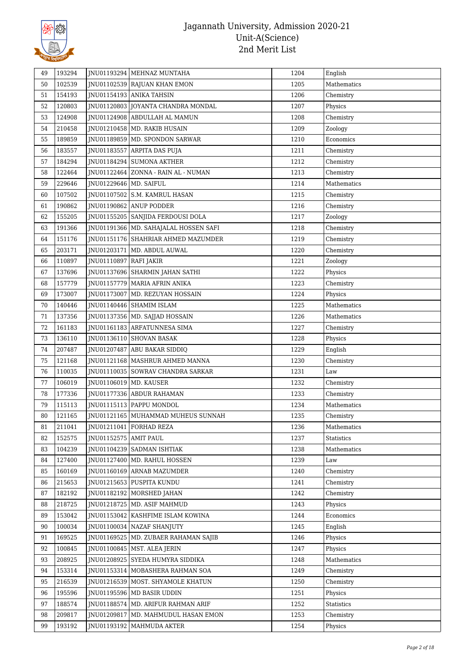

| 49 | 193294 |                          | JNU01193294 MEHNAZ MUNTAHA              | 1204 | English           |
|----|--------|--------------------------|-----------------------------------------|------|-------------------|
| 50 | 102539 |                          | JNU01102539 RAJUAN KHAN EMON            | 1205 | Mathematics       |
| 51 | 154193 |                          | JNU01154193 ANIKA TAHSIN                | 1206 | Chemistry         |
| 52 | 120803 |                          | JNU01120803 JOYANTA CHANDRA MONDAL      | 1207 | Physics           |
| 53 | 124908 |                          | JNU01124908 ABDULLAH AL MAMUN           | 1208 | Chemistry         |
| 54 | 210458 |                          | JNU01210458   MD. RAKIB HUSAIN          | 1209 | Zoology           |
| 55 | 189859 |                          | JNU01189859   MD. SPONDON SARWAR        | 1210 | Economics         |
| 56 | 183557 |                          | JNU01183557 ARPITA DAS PUJA             | 1211 | Chemistry         |
| 57 | 184294 |                          | JNU01184294 SUMONA AKTHER               | 1212 | Chemistry         |
| 58 | 122464 |                          | JNU01122464   ZONNA - RAIN AL - NUMAN   | 1213 | Chemistry         |
| 59 | 229646 | JNU01229646   MD. SAIFUL |                                         | 1214 | Mathematics       |
| 60 | 107502 |                          | JNU01107502 S.M. KAMRUL HASAN           | 1215 | Chemistry         |
| 61 | 190862 |                          | JNU01190862 ANUP PODDER                 | 1216 | Chemistry         |
| 62 | 155205 |                          | JNU01155205 SANJIDA FERDOUSI DOLA       | 1217 | Zoology           |
| 63 | 191366 |                          | JNU01191366   MD. SAHAJALAL HOSSEN SAFI | 1218 | Chemistry         |
| 64 | 151176 |                          | JNU01151176 SHAHRIAR AHMED MAZUMDER     | 1219 | Chemistry         |
| 65 | 203171 |                          | JNU01203171   MD. ABDUL AUWAL           | 1220 | Chemistry         |
| 66 | 110897 | JNU01110897 RAFI JAKIR   |                                         | 1221 | Zoology           |
| 67 | 137696 |                          | JNU01137696 SHARMIN JAHAN SATHI         | 1222 | Physics           |
| 68 | 157779 |                          | JNU01157779   MARIA AFRIN ANIKA         | 1223 | Chemistry         |
| 69 | 173007 |                          | JNU01173007   MD. REZUYAN HOSSAIN       | 1224 | Physics           |
| 70 | 140446 |                          | JNU01140446   SHAMIM ISLAM              | 1225 | Mathematics       |
| 71 | 137356 |                          | JNU01137356   MD. SAJJAD HOSSAIN        | 1226 | Mathematics       |
| 72 | 161183 |                          | JNU01161183 ARFATUNNESA SIMA            | 1227 | Chemistry         |
| 73 | 136110 |                          | JNU01136110 SHOVAN BASAK                | 1228 | Physics           |
| 74 | 207487 |                          | JNU01207487 ABU BAKAR SIDDIQ            | 1229 | English           |
| 75 | 121168 |                          | JNU01121168   MASHRUR AHMED MANNA       | 1230 | Chemistry         |
| 76 | 110035 |                          | JNU01110035   SOWRAV CHANDRA SARKAR     | 1231 | Law               |
| 77 | 106019 | JNU01106019   MD. KAUSER |                                         | 1232 | Chemistry         |
| 78 | 177336 |                          | JNU01177336 ABDUR RAHAMAN               | 1233 | Chemistry         |
| 79 | 115113 |                          | JNU01115113 PAPPU MONDOL                | 1234 | Mathematics       |
| 80 | 121165 |                          | JNU01121165   MUHAMMAD MUHEUS SUNNAH    | 1235 | Chemistry         |
| 81 | 211041 |                          | JNU01211041 FORHAD REZA                 | 1236 | Mathematics       |
| 82 | 152575 | JNU01152575 AMIT PAUL    |                                         | 1237 | <b>Statistics</b> |
| 83 | 104239 |                          | JNU01104239   SADMAN ISHTIAK            | 1238 | Mathematics       |
| 84 | 127400 |                          | JNU01127400   MD. RAHUL HOSSEN          | 1239 | Law               |
| 85 | 160169 |                          | JNU01160169 ARNAB MAZUMDER              | 1240 | Chemistry         |
| 86 | 215653 |                          | JNU01215653 PUSPITA KUNDU               | 1241 | Chemistry         |
| 87 | 182192 |                          | JNU01182192 MORSHED JAHAN               | 1242 | Chemistry         |
| 88 | 218725 |                          | JNU01218725 MD. ASIF MAHMUD             | 1243 | Physics           |
| 89 | 153042 |                          | JNU01153042 KASHFIME ISLAM KOWINA       | 1244 | Economics         |
| 90 | 100034 |                          | JNU01100034 NAZAF SHANJUTY              | 1245 | English           |
| 91 | 169525 |                          | JNU01169525   MD. ZUBAER RAHAMAN SAJIB  | 1246 | Physics           |
| 92 | 100845 |                          | JNU01100845   MST. ALEA JERIN           | 1247 | Physics           |
| 93 | 208925 |                          | JNU01208925 SYEDA HUMYRA SIDDIKA        | 1248 | Mathematics       |
| 94 | 153314 |                          | JNU01153314   MOBASHERA RAHMAN SOA      | 1249 | Chemistry         |
| 95 | 216539 |                          | JNU01216539   MOST. SHYAMOLE KHATUN     | 1250 | Chemistry         |
| 96 | 195596 |                          | JNU01195596   MD BASIR UDDIN            | 1251 | Physics           |
| 97 | 188574 |                          | JNU01188574   MD. ARIFUR RAHMAN ARIF    | 1252 | Statistics        |
| 98 | 209817 |                          | JNU01209817   MD. MAHMUDUL HASAN EMON   | 1253 | Chemistry         |
| 99 | 193192 | JNU01193192              | MAHMUDA AKTER                           | 1254 | Physics           |
|    |        |                          |                                         |      |                   |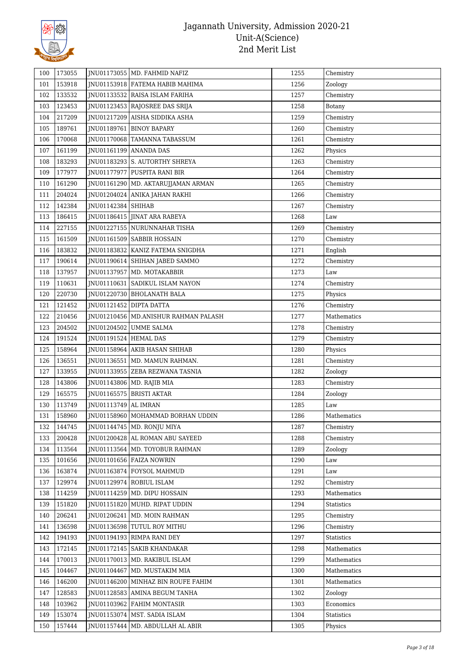

| 100 | 173055 |                       | JNU01173055   MD. FAHMID NAFIZ         | 1255 | Chemistry   |
|-----|--------|-----------------------|----------------------------------------|------|-------------|
| 101 | 153918 |                       | JNU01153918 FATEMA HABIB MAHIMA        | 1256 | Zoology     |
| 102 | 133532 |                       | JNU01133532   RAISA ISLAM FARIHA       | 1257 | Chemistry   |
| 103 | 123453 |                       | JNU01123453 RAJOSREE DAS SRIJA         | 1258 | Botany      |
| 104 | 217209 |                       | JNU01217209 AISHA SIDDIKA ASHA         | 1259 | Chemistry   |
| 105 | 189761 |                       | JNU01189761   BINOY BAPARY             | 1260 | Chemistry   |
| 106 | 170068 |                       | JNU01170068   TAMANNA TABASSUM         | 1261 | Chemistry   |
| 107 | 161199 |                       | JNU01161199   ANANDA DAS               | 1262 | Physics     |
| 108 | 183293 |                       | JNU01183293 S. AUTORTHY SHREYA         | 1263 | Chemistry   |
| 109 | 177977 |                       | JNU01177977   PUSPITA RANI BIR         | 1264 | Chemistry   |
| 110 | 161290 |                       | JNU01161290   MD. AKTARUJJAMAN ARMAN   | 1265 | Chemistry   |
| 111 | 204024 |                       | JNU01204024   ANIKA JAHAN RAKHI        | 1266 | Chemistry   |
| 112 | 142384 | JNU01142384 SHIHAB    |                                        | 1267 | Chemistry   |
| 113 | 186415 |                       | JNU01186415 JINAT ARA RABEYA           | 1268 | Law         |
| 114 | 227155 |                       | JNU01227155 NURUNNAHAR TISHA           | 1269 | Chemistry   |
| 115 | 161509 |                       | JNU01161509   SABBIR HOSSAIN           | 1270 | Chemistry   |
| 116 | 183832 |                       | JNU01183832   KANIZ FATEMA SNIGDHA     | 1271 | English     |
| 117 | 190614 |                       | JNU01190614 SHIHAN JABED SAMMO         | 1272 | Chemistry   |
| 118 | 137957 |                       | JNU01137957   MD. MOTAKABBIR           | 1273 | Law         |
| 119 | 110631 |                       | JNU01110631 SADIKUL ISLAM NAYON        | 1274 | Chemistry   |
| 120 | 220730 |                       | JNU01220730   BHOLANATH BALA           | 1275 | Physics     |
| 121 | 121452 |                       | JNU01121452 DIPTA DATTA                | 1276 | Chemistry   |
| 122 | 210456 |                       | JNU01210456   MD.ANISHUR RAHMAN PALASH | 1277 | Mathematics |
| 123 | 204502 |                       | JNU01204502 UMME SALMA                 | 1278 | Chemistry   |
| 124 | 191524 | JNU01191524 HEMAL DAS |                                        | 1279 | Chemistry   |
| 125 | 158964 |                       | JNU01158964 AKIB HASAN SHIHAB          | 1280 | Physics     |
| 126 | 136551 |                       | JNU01136551   MD. MAMUN RAHMAN.        | 1281 | Chemistry   |
| 127 | 133955 |                       | JNU01133955   ZEBA REZWANA TASNIA      | 1282 | Zoology     |
| 128 | 143806 |                       | JNU01143806   MD. RAJIB MIA            | 1283 | Chemistry   |
| 129 | 165575 |                       | JNU01165575   BRISTI AKTAR             | 1284 | Zoology     |
| 130 | 113749 | JNU01113749 AL IMRAN  |                                        | 1285 | Law         |
| 131 | 158960 |                       | JNU01158960   MOHAMMAD BORHAN UDDIN    | 1286 | Mathematics |
| 132 | 144745 |                       | JNU01144745   MD. RONJU MIYA           | 1287 | Chemistry   |
| 133 | 200428 |                       | JNU01200428 AL ROMAN ABU SAYEED        | 1288 | Chemistry   |
| 134 | 113564 |                       | JNU01113564   MD. TOYOBUR RAHMAN       | 1289 | Zoology     |
| 135 | 101656 |                       | JNU01101656 FAIZA NOWRIN               | 1290 | Law         |
| 136 | 163874 |                       | JNU01163874 FOYSOL MAHMUD              | 1291 | Law         |
| 137 | 129974 |                       | JNU01129974 ROBIUL ISLAM               | 1292 | Chemistry   |
| 138 | 114259 |                       | INU01114259 MD. DIPU HOSSAIN           | 1293 | Mathematics |
| 139 | 151820 |                       | JNU01151820   MUHD. RIPAT UDDIN        | 1294 | Statistics  |
| 140 | 206241 |                       | JNU01206241   MD. MOIN RAHMAN          | 1295 | Chemistry   |
| 141 | 136598 |                       | JNU01136598 TUTUL ROY MITHU            | 1296 | Chemistry   |
| 142 | 194193 |                       | JNU01194193 RIMPA RANI DEY             | 1297 | Statistics  |
| 143 | 172145 |                       | JNU01172145   SAKIB KHANDAKAR          | 1298 | Mathematics |
| 144 | 170013 |                       | JNU01170013   MD. RAKIBUL ISLAM        | 1299 | Mathematics |
| 145 | 104467 | JNU01104467           | MD. MUSTAKIM MIA                       | 1300 | Mathematics |
| 146 | 146200 |                       | JNU01146200 MINHAZ BIN ROUFE FAHIM     | 1301 | Mathematics |
| 147 | 128583 |                       | JNU01128583 AMINA BEGUM TANHA          | 1302 | Zoology     |
| 148 | 103962 |                       | JNU01103962 FAHIM MONTASIR             | 1303 | Economics   |
| 149 | 153074 |                       | JNU01153074   MST. SADIA ISLAM         | 1304 | Statistics  |
| 150 | 157444 |                       | JNU01157444   MD. ABDULLAH AL ABIR     | 1305 | Physics     |
|     |        |                       |                                        |      |             |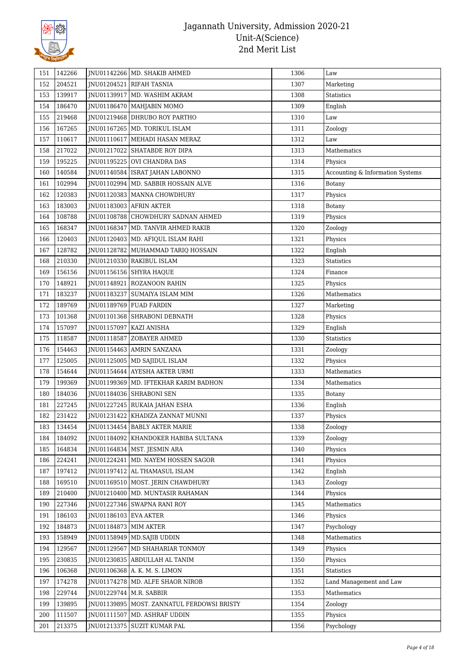

| 151 | 142266 |                           | JNU01142266   MD. SHAKIB AHMED               | 1306 | Law                              |
|-----|--------|---------------------------|----------------------------------------------|------|----------------------------------|
| 152 | 204521 |                           | JNU01204521 RIFAH TASNIA                     | 1307 | Marketing                        |
| 153 | 139917 |                           | JNU01139917   MD. WASHIM AKRAM               | 1308 | Statistics                       |
| 154 | 186470 |                           | JNU01186470   MAHJABIN MOMO                  | 1309 | English                          |
| 155 | 219468 |                           | JNU01219468 DHRUBO ROY PARTHO                | 1310 | Law                              |
| 156 | 167265 |                           | JNU01167265   MD. TORIKUL ISLAM              | 1311 | Zoology                          |
| 157 | 110617 |                           | JNU01110617   MEHADI HASAN MERAZ             | 1312 | Law                              |
| 158 | 217022 |                           | JNU01217022 SHATABDE ROY DIPA                | 1313 | Mathematics                      |
| 159 | 195225 |                           | JNU01195225 OVI CHANDRA DAS                  | 1314 | Physics                          |
| 160 | 140584 |                           | JNU01140584   ISRAT JAHAN LABONNO            | 1315 | Accounting & Information Systems |
| 161 | 102994 |                           | INU01102994   MD. SABBIR HOSSAIN ALVE        | 1316 | Botany                           |
| 162 | 120383 |                           | JNU01120383   MANNA CHOWDHURY                | 1317 | Physics                          |
| 163 | 183003 |                           | JNU01183003 AFRIN AKTER                      | 1318 | Botany                           |
| 164 | 108788 |                           | JNU01108788 CHOWDHURY SADNAN AHMED           | 1319 | Physics                          |
| 165 | 168347 |                           | JNU01168347   MD. TANVIR AHMED RAKIB         | 1320 | Zoology                          |
| 166 | 120403 |                           | JNU01120403   MD. AFIQUL ISLAM RAHI          | 1321 | Physics                          |
| 167 | 128782 |                           | JNU01128782 MUHAMMAD TARIQ HOSSAIN           | 1322 | English                          |
| 168 | 210330 |                           | JNU01210330 RAKIBUL ISLAM                    | 1323 | <b>Statistics</b>                |
| 169 | 156156 |                           | JNU01156156 SHYRA HAQUE                      | 1324 | Finance                          |
| 170 | 148921 |                           | JNU01148921   ROZANOON RAHIN                 | 1325 | Physics                          |
| 171 | 183237 |                           | JNU01183237 SUMAIYA ISLAM MIM                | 1326 | Mathematics                      |
| 172 | 189769 |                           | JNU01189769 FUAD FARDIN                      | 1327 | Marketing                        |
| 173 | 101368 |                           | JNU01101368 SHRABONI DEBNATH                 | 1328 | Physics                          |
| 174 | 157097 | JNU01157097 KAZI ANISHA   |                                              | 1329 | English                          |
| 175 | 118587 |                           | JNU01118587 ZOBAYER AHMED                    | 1330 | Statistics                       |
| 176 | 154463 |                           | JNU01154463 AMRIN SANZANA                    | 1331 | Zoology                          |
| 177 | 125005 |                           | JNU01125005   MD SAJIDUL ISLAM               | 1332 | Physics                          |
| 178 | 154644 |                           | JNU01154644 AYESHA AKTER URMI                | 1333 | Mathematics                      |
| 179 | 199369 |                           | JNU01199369   MD. IFTEKHAR KARIM BADHON      | 1334 | Mathematics                      |
| 180 | 184036 |                           | JNU01184036 SHRABONI SEN                     | 1335 | <b>Botany</b>                    |
| 181 | 227245 |                           | JNU01227245   RUKAIA JAHAN ESHA              | 1336 | English                          |
| 182 | 231422 |                           | JNU01231422 KHADIZA ZANNAT MUNNI             | 1337 | Physics                          |
| 183 | 134454 |                           | JNU01134454 BABLY AKTER MARIE                | 1338 | Zoology                          |
| 184 | 184092 |                           | JNU01184092   KHANDOKER HABIBA SULTANA       | 1339 | Zoology                          |
| 185 | 164834 |                           | JNU01164834   MST. JESMIN ARA                | 1340 | Physics                          |
| 186 | 224241 |                           | JNU01224241   MD. NAYEM HOSSEN SAGOR         | 1341 | Physics                          |
| 187 | 197412 |                           | JNU01197412 AL THAMASUL ISLAM                | 1342 | English                          |
| 188 | 169510 |                           | INU01169510 MOST. JERIN CHAWDHURY            | 1343 | Zoology                          |
| 189 | 210400 |                           | JNU01210400   MD. MUNTASIR RAHAMAN           | 1344 | Physics                          |
| 190 | 227346 |                           | JNU01227346 SWAPNA RANI ROY                  | 1345 | Mathematics                      |
| 191 | 186103 | JNU01186103 EVA AKTER     |                                              | 1346 | Physics                          |
| 192 | 184873 | JNU01184873   MIM AKTER   |                                              | 1347 | Psychology                       |
| 193 | 158949 |                           | JNU01158949   MD.SAJIB UDDIN                 | 1348 | Mathematics                      |
| 194 | 129567 |                           | JNU01129567   MD SHAHARIAR TONMOY            | 1349 | Physics                          |
| 195 | 230835 |                           | JNU01230835 ABDULLAH AL TANIM                | 1350 | Physics                          |
| 196 | 106368 |                           | JNU01106368   A. K. M. S. LIMON              | 1351 | Statistics                       |
| 197 | 174278 |                           | JNU01174278   MD. ALFE SHAOR NIROB           | 1352 | Land Management and Law          |
| 198 | 229744 | JNU01229744   M.R. SABBIR |                                              | 1353 | Mathematics                      |
| 199 | 139895 |                           | JNU01139895   MOST. ZANNATUL FERDOWSI BRISTY | 1354 | Zoology                          |
| 200 | 111507 |                           | JNU01111507   MD. ASHRAF UDDIN               | 1355 | Physics                          |
| 201 | 213375 |                           | JNU01213375 SUZIT KUMAR PAL                  | 1356 | Psychology                       |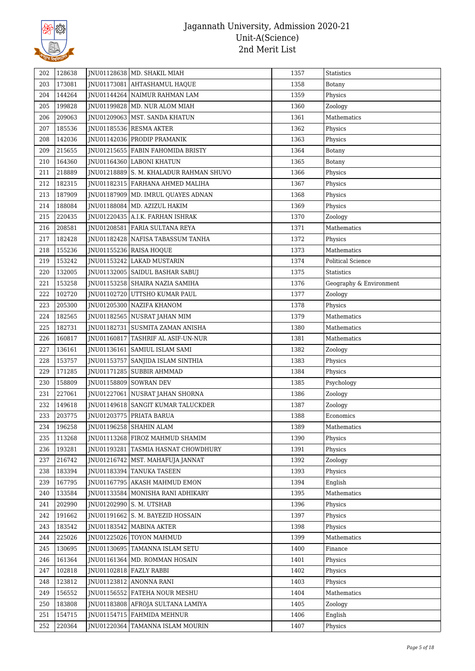

| 202 | 128638 | JNU01128638   MD. SHAKIL MIAH           | 1357 | Statistics               |
|-----|--------|-----------------------------------------|------|--------------------------|
| 203 | 173081 | JNU01173081 AHTASHAMUL HAQUE            | 1358 | Botany                   |
| 204 | 144264 | JNU01144264 NAIMUR RAHMAN LAM           | 1359 | Physics                  |
| 205 | 199828 | JNU01199828   MD. NUR ALOM MIAH         | 1360 | Zoology                  |
| 206 | 209063 | INU01209063   MST. SANDA KHATUN         | 1361 | Mathematics              |
| 207 | 185536 | JNU01185536 RESMA AKTER                 | 1362 | Physics                  |
| 208 | 142036 | JNU01142036 PRODIP PRAMANIK             | 1363 | Physics                  |
| 209 | 215655 | JNU01215655   FABIN FAHOMIDA BRISTY     | 1364 | Botany                   |
| 210 | 164360 | JNU01164360 LABONI KHATUN               | 1365 | Botany                   |
| 211 | 218889 | JNU01218889 S. M. KHALADUR RAHMAN SHUVO | 1366 | Physics                  |
| 212 | 182315 | JNU01182315   FARHANA AHMED MALIHA      | 1367 | Physics                  |
| 213 | 187909 | JNU01187909   MD. IMRUL QUAYES ADNAN    | 1368 | Physics                  |
| 214 | 188084 | JNU01188084   MD. AZIZUL HAKIM          | 1369 | Physics                  |
| 215 | 220435 | JNU01220435   A.I.K. FARHAN ISHRAK      | 1370 | Zoology                  |
| 216 | 208581 | JNU01208581 FARIA SULTANA REYA          | 1371 | Mathematics              |
| 217 | 182428 | JNU01182428 NAFISA TABASSUM TANHA       | 1372 | Physics                  |
| 218 | 155236 | JNU01155236 RAISA HOQUE                 | 1373 | Mathematics              |
| 219 | 153242 | JNU01153242 LAKAD MUSTARIN              | 1374 | <b>Political Science</b> |
| 220 | 132005 | JNU01132005   SAIDUL BASHAR SABUJ       | 1375 | Statistics               |
| 221 | 153258 | JNU01153258 SHAIRA NAZIA SAMIHA         | 1376 | Geography & Environment  |
| 222 | 102720 | JNU01102720 UTTSHO KUMAR PAUL           | 1377 | Zoology                  |
| 223 | 205300 | JNU01205300 NAZIFA KHANOM               | 1378 | Physics                  |
| 224 | 182565 | JNU01182565 NUSRAT JAHAN MIM            | 1379 | Mathematics              |
| 225 | 182731 | JNU01182731   SUSMITA ZAMAN ANISHA      | 1380 | Mathematics              |
| 226 | 160817 | JNU01160817 TASHRIF AL ASIF-UN-NUR      | 1381 | Mathematics              |
| 227 | 136161 | JNU01136161   SAMIUL ISLAM SAMI         | 1382 | Zoology                  |
| 228 | 153757 | JNU01153757 SANJIDA ISLAM SINTHIA       | 1383 | Physics                  |
| 229 | 171285 | JNU01171285   SUBBIR AHMMAD             | 1384 | Physics                  |
| 230 | 158809 | JNU01158809 SOWRAN DEV                  | 1385 | Psychology               |
| 231 | 227061 | JNU01227061   NUSRAT JAHAN SHORNA       | 1386 | Zoology                  |
| 232 | 149618 | JNU01149618 SANGIT KUMAR TALUCKDER      | 1387 | Zoology                  |
| 233 | 203775 | JNU01203775 PRIATA BARUA                | 1388 | Economics                |
| 234 | 196258 | JNU01196258 SHAHIN ALAM                 | 1389 | Mathematics              |
| 235 | 113268 | JNU01113268 FIROZ MAHMUD SHAMIM         | 1390 | Physics                  |
| 236 | 193281 | JNU01193281   TASMIA HASNAT CHOWDHURY   | 1391 | Physics                  |
| 237 | 216742 | JNU01216742   MST. MAHAFUJA JANNAT      | 1392 | Zoology                  |
| 238 | 183394 | JNU01183394 TANUKA TASEEN               | 1393 | Physics                  |
| 239 | 167795 | JNU01167795 AKASH MAHMUD EMON           | 1394 | English                  |
| 240 | 133584 | JNU01133584   MONISHA RANI ADHIKARY     | 1395 | Mathematics              |
| 241 | 202990 | JNU01202990 S. M. UTSHAB                | 1396 | Physics                  |
| 242 | 191662 | JNU01191662 S. M. BAYEZID HOSSAIN       | 1397 | Physics                  |
| 243 | 183542 | JNU01183542   MABINA AKTER              | 1398 | Physics                  |
| 244 | 225026 | JNU01225026 TOYON MAHMUD                | 1399 | Mathematics              |
| 245 | 130695 | JNU01130695   TAMANNA ISLAM SETU        | 1400 | Finance                  |
| 246 | 161364 | JNU01161364   MD. ROMMAN HOSAIN         | 1401 | Physics                  |
| 247 | 102818 | JNU01102818 FAZLY RABBI                 | 1402 | Physics                  |
| 248 | 123812 | JNU01123812 ANONNA RANI                 | 1403 | Physics                  |
| 249 | 156552 | JNU01156552 FATEHA NOUR MESHU           | 1404 | Mathematics              |
| 250 | 183808 | JNU01183808 AFROJA SULTANA LAMIYA       | 1405 | Zoology                  |
| 251 | 154715 | JNU01154715   FAHMIDA MEHNUR            | 1406 | English                  |
| 252 | 220364 | JNU01220364 TAMANNA ISLAM MOURIN        | 1407 |                          |
|     |        |                                         |      | Physics                  |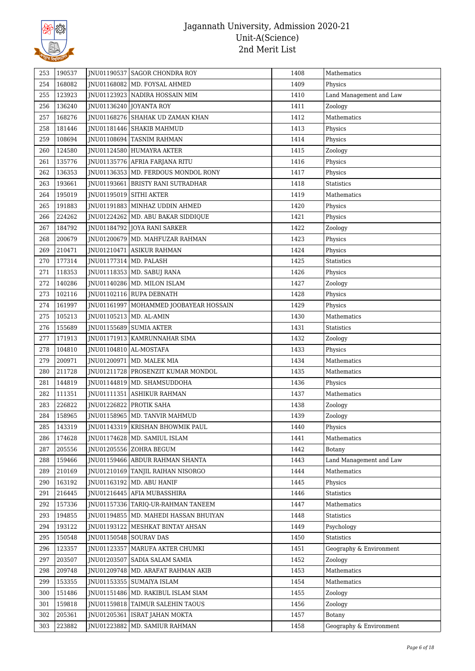

| 253        | 190537 |                          | INU01190537 SAGOR CHONDRA ROY                                      | 1408 | Mathematics             |
|------------|--------|--------------------------|--------------------------------------------------------------------|------|-------------------------|
| 254        | 168082 |                          | JNU01168082   MD. FOYSAL AHMED                                     | 1409 | Physics                 |
| 255        | 123923 |                          | INU01123923 NADIRA HOSSAIN MIM                                     | 1410 | Land Management and Law |
| 256        | 136240 |                          | JNU01136240 JOYANTA ROY                                            | 1411 | Zoology                 |
| 257        | 168276 |                          | JNU01168276 SHAHAK UD ZAMAN KHAN                                   | 1412 | Mathematics             |
| 258        | 181446 |                          | JNU01181446 SHAKIB MAHMUD                                          | 1413 | Physics                 |
| 259        | 108694 |                          | JNU01108694 TASNIM RAHMAN                                          | 1414 | Physics                 |
| 260        | 124580 |                          | JNU01124580 HUMAYRA AKTER                                          | 1415 | Zoology                 |
| 261        | 135776 |                          | JNU01135776 AFRIA FARJANA RITU                                     | 1416 | Physics                 |
| 262        | 136353 |                          | INU01136353   MD. FERDOUS MONDOL RONY                              | 1417 | Physics                 |
| 263        | 193661 |                          | JNU01193661   BRISTY RANI SUTRADHAR                                | 1418 | <b>Statistics</b>       |
| 264        | 195019 | JNU01195019 SITHI AKTER  |                                                                    | 1419 | Mathematics             |
| 265        | 191883 |                          | JNU01191883   MINHAZ UDDIN AHMED                                   | 1420 | Physics                 |
| 266        | 224262 |                          | JNU01224262   MD. ABU BAKAR SIDDIQUE                               | 1421 | Physics                 |
| 267        | 184792 |                          | JNU01184792 JOYA RANI SARKER                                       | 1422 | Zoology                 |
| 268        | 200679 |                          | JNU01200679   MD. MAHFUZAR RAHMAN                                  | 1423 | Physics                 |
| 269        | 210471 |                          | JNU01210471 ASIKUR RAHMAN                                          | 1424 | Physics                 |
| 270        | 177314 | JNU01177314   MD. PALASH |                                                                    | 1425 | <b>Statistics</b>       |
| 271        | 118353 |                          | JNU01118353 MD. SABUJ RANA                                         | 1426 | Physics                 |
| 272        | 140286 |                          | JNU01140286   MD. MILON ISLAM                                      | 1427 | Zoology                 |
| 273        | 102116 |                          | JNU01102116 RUPA DEBNATH                                           | 1428 | Physics                 |
| 274        | 161997 |                          | JNU01161997   MOHAMMED JOOBAYEAR HOSSAIN                           | 1429 | Physics                 |
| 275        | 105213 |                          | JNU01105213   MD. AL-AMIN                                          | 1430 | Mathematics             |
| 276        | 155689 |                          | JNU01155689 SUMIA AKTER                                            | 1431 | <b>Statistics</b>       |
| 277        | 171913 |                          | JNU01171913   KAMRUNNAHAR SIMA                                     | 1432 | Zoology                 |
| 278        | 104810 | JNU01104810   AL-MOSTAFA |                                                                    | 1433 | Physics                 |
| 279        | 200971 |                          | JNU01200971   MD. MALEK MIA                                        | 1434 | Mathematics             |
| 280        | 211728 |                          | JNU01211728 PROSENZIT KUMAR MONDOL                                 | 1435 | Mathematics             |
| 281        | 144819 |                          | JNU01144819   MD. SHAMSUDDOHA                                      | 1436 | Physics                 |
| 282        | 111351 |                          | JNU01111351   ASHIKUR RAHMAN                                       | 1437 | Mathematics             |
| 283        | 226822 |                          | JNU01226822 PROTIK SAHA                                            | 1438 | Zoology                 |
| 284        | 158965 |                          | JNU01158965   MD. TANVIR MAHMUD                                    | 1439 | Zoology                 |
| 285        | 143319 |                          | JNU01143319   KRISHAN BHOWMIK PAUL                                 | 1440 | Physics                 |
| 286        | 174628 |                          | JNU01174628   MD. SAMIUL ISLAM                                     | 1441 | Mathematics             |
| 287        | 205556 |                          | JNU01205556 ZOHRA BEGUM                                            | 1442 | Botany                  |
| 288        | 159466 |                          | JNU01159466 ABDUR RAHMAN SHANTA                                    | 1443 | Land Management and Law |
| 289        | 210169 |                          | <b>INU01210169 TANJIL RAIHAN NISORGO</b>                           | 1444 | Mathematics             |
| 290        | 163192 |                          | JNU01163192   MD. ABU HANIF                                        | 1445 | Physics                 |
| 291        | 216445 |                          | JNU01216445 AFIA MUBASSHIRA                                        | 1446 | Statistics              |
| 292        | 157336 |                          | JNU01157336   TARIQ-UR-RAHMAN TANEEM                               | 1447 | Mathematics             |
| 293        | 194855 |                          | JNU01194855   MD. MAHEDI HASSAN BHUIYAN                            | 1448 | Statistics              |
| 294        | 193122 |                          | JNU01193122   MESHKAT BINTAY AHSAN                                 | 1449 | Psychology              |
| 295        | 150548 |                          | JNU01150548 SOURAV DAS                                             | 1450 | Statistics              |
|            | 123357 |                          |                                                                    | 1451 | Geography & Environment |
| 296<br>297 | 203507 |                          | JNU01123357   MARUFA AKTER CHUMKI<br>JNU01203507 SADIA SALAM SAMIA | 1452 | Zoology                 |
| 298        | 209748 |                          | JNU01209748   MD. ARAFAT RAHMAN AKIB                               | 1453 | Mathematics             |
|            |        |                          |                                                                    |      |                         |
| 299        | 153355 |                          | JNU01153355   SUMAIYA ISLAM                                        | 1454 | Mathematics             |
| 300        | 151486 |                          | JNU01151486   MD. RAKIBUL ISLAM SIAM                               | 1455 | Zoology                 |
| 301        | 159818 |                          | JNU01159818 TAIMUR SALEHIN TAOUS                                   | 1456 | Zoology                 |
| 302        | 205361 |                          | JNU01205361   ISRAT JAHAN MOKTA                                    | 1457 | Botany                  |
| 303        | 223882 | JNU01223882              | MD. SAMIUR RAHMAN                                                  | 1458 | Geography & Environment |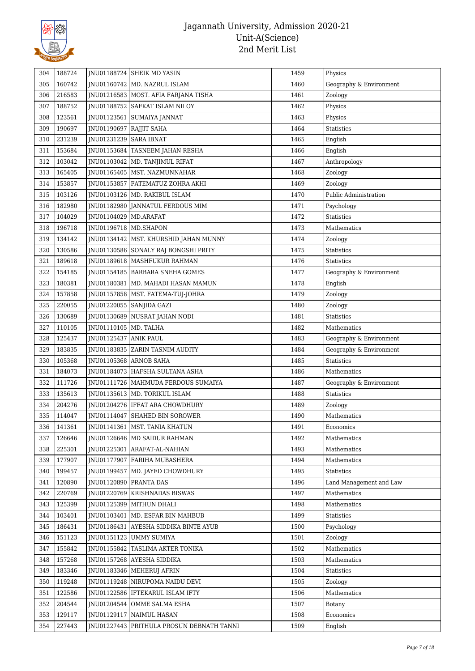

| 304 | 188724 |                           | <b>INU01188724 SHEIK MD YASIN</b>         | 1459 | Physics                 |
|-----|--------|---------------------------|-------------------------------------------|------|-------------------------|
| 305 | 160742 |                           | JNU01160742   MD. NAZRUL ISLAM            | 1460 | Geography & Environment |
| 306 | 216583 |                           | JNU01216583   MOST. AFIA FARJANA TISHA    | 1461 | Zoology                 |
| 307 | 188752 |                           | JNU01188752   SAFKAT ISLAM NILOY          | 1462 | Physics                 |
| 308 | 123561 |                           | JNU01123561   SUMAIYA JANNAT              | 1463 | Physics                 |
| 309 | 190697 | JNU01190697   RAJJIT SAHA |                                           | 1464 | Statistics              |
| 310 | 231239 | JNU01231239   SARA IBNAT  |                                           | 1465 | English                 |
| 311 | 153684 |                           | JNU01153684   TASNEEM JAHAN RESHA         | 1466 | English                 |
| 312 | 103042 |                           | JNU01103042 MD. TANJIMUL RIFAT            | 1467 | Anthropology            |
| 313 | 165405 |                           | JNU01165405   MST. NAZMUNNAHAR            | 1468 | Zoology                 |
| 314 | 153857 |                           | JNU01153857   FATEMATUZ ZOHRA AKHI        | 1469 | Zoology                 |
| 315 | 103126 |                           | JNU01103126   MD. RAKIBUL ISLAM           | 1470 | Public Administration   |
| 316 | 182980 |                           | JNU01182980 JANNATUL FERDOUS MIM          | 1471 | Psychology              |
| 317 | 104029 | JNU01104029 MD.ARAFAT     |                                           | 1472 | <b>Statistics</b>       |
| 318 | 196718 | JNU01196718 MD.SHAPON     |                                           | 1473 | Mathematics             |
| 319 | 134142 |                           | JNU01134142   MST. KHURSHID JAHAN MUNNY   | 1474 | Zoology                 |
| 320 | 130586 |                           | JNU01130586 SONALY RAJ BONGSHI PRITY      | 1475 | Statistics              |
| 321 | 189618 |                           | JNU01189618   MASHFUKUR RAHMAN            | 1476 | <b>Statistics</b>       |
| 322 | 154185 |                           | JNU01154185   BARBARA SNEHA GOMES         | 1477 | Geography & Environment |
| 323 | 180381 |                           | JNU01180381   MD. MAHADI HASAN MAMUN      | 1478 | English                 |
| 324 | 157858 |                           | JNU01157858   MST. FATEMA-TUJ-JOHRA       | 1479 | Zoology                 |
| 325 | 220055 |                           | JNU01220055   SANJIDA GAZI                | 1480 | Zoology                 |
| 326 | 130689 |                           | JNU01130689 NUSRAT JAHAN NODI             | 1481 | Statistics              |
| 327 | 110105 | JNU01110105   MD. TALHA   |                                           | 1482 | Mathematics             |
| 328 | 125437 | JNU01125437 ANIK PAUL     |                                           | 1483 | Geography & Environment |
| 329 | 183835 |                           | JNU01183835 ZARIN TASNIM AUDITY           | 1484 | Geography & Environment |
| 330 | 105368 | JNU01105368 ARNOB SAHA    |                                           | 1485 | <b>Statistics</b>       |
| 331 | 184073 |                           | JNU01184073   HAFSHA SULTANA ASHA         | 1486 | Mathematics             |
| 332 | 111726 |                           | JNU01111726   MAHMUDA FERDOUS SUMAIYA     | 1487 | Geography & Environment |
| 333 | 135613 |                           | JNU01135613   MD. TORIKUL ISLAM           | 1488 | Statistics              |
| 334 | 204276 |                           | JNU01204276 IFFAT ARA CHOWDHURY           | 1489 | Zoology                 |
| 335 | 114047 |                           | JNU01114047 SHAHED BIN SOROWER            | 1490 | Mathematics             |
| 336 | 141361 |                           | JNU01141361   MST. TANIA KHATUN           | 1491 | Economics               |
| 337 | 126646 |                           | JNU01126646   MD SAIDUR RAHMAN            | 1492 | Mathematics             |
| 338 | 225301 |                           | JNU01225301   ARAFAT-AL-NAHIAN            | 1493 | Mathematics             |
| 339 | 177907 |                           | JNU01177907 FARIHA MUBASHERA              | 1494 | Mathematics             |
| 340 | 199457 |                           | JNU01199457   MD. JAYED CHOWDHURY         | 1495 | <b>Statistics</b>       |
| 341 | 120890 | JNU01120890   PRANTA DAS  |                                           | 1496 | Land Management and Law |
| 342 | 220769 |                           | <b>INU01220769 KRISHNADAS BISWAS</b>      | 1497 | Mathematics             |
| 343 | 125399 |                           | JNU01125399 MITHUN DHALI                  | 1498 | Mathematics             |
| 344 | 103401 |                           | JNU01103401   MD. ESFAR BIN MAHBUB        | 1499 | Statistics              |
| 345 | 186431 |                           | JNU01186431 AYESHA SIDDIKA BINTE AYUB     | 1500 | Psychology              |
| 346 | 151123 |                           | JNU01151123 UMMY SUMIYA                   | 1501 | Zoology                 |
| 347 | 155842 |                           | JNU01155842   TASLIMA AKTER TONIKA        | 1502 | Mathematics             |
| 348 | 157268 |                           | JNU01157268 AYESHA SIDDIKA                | 1503 | Mathematics             |
| 349 | 183346 |                           | JNU01183346   MEHERUJ AFRIN               | 1504 | Statistics              |
| 350 | 119248 |                           | JNU01119248 NIRUPOMA NAIDU DEVI           | 1505 | Zoology                 |
| 351 | 122586 |                           | JNU01122586   IFTEKARUL ISLAM IFTY        | 1506 | Mathematics             |
| 352 | 204544 |                           | JNU01204544 OMME SALMA ESHA               | 1507 | Botany                  |
| 353 | 129117 |                           | JNU01129117 NAIMUL HASAN                  | 1508 | Economics               |
| 354 | 227443 |                           | JNU01227443 PRITHULA PROSUN DEBNATH TANNI | 1509 | English                 |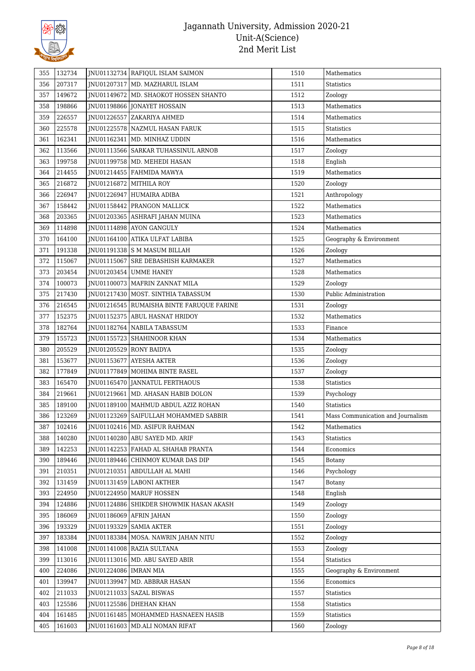

| 355        | 132734 |                         | INU01132734 RAFIQUL ISLAM SAIMON            | 1510 | Mathematics                       |
|------------|--------|-------------------------|---------------------------------------------|------|-----------------------------------|
| 356        | 207317 |                         | JNU01207317   MD. MAZHARUL ISLAM            | 1511 | Statistics                        |
| 357        | 149672 |                         | JNU01149672   MD. SHAOKOT HOSSEN SHANTO     | 1512 | Zoology                           |
| 358        | 198866 |                         | JNU01198866 JONAYET HOSSAIN                 | 1513 | Mathematics                       |
| 359        | 226557 |                         | JNU01226557 ZAKARIYA AHMED                  | 1514 | Mathematics                       |
| 360        | 225578 |                         | JNU01225578 NAZMUL HASAN FARUK              | 1515 | <b>Statistics</b>                 |
| 361        | 162341 |                         | JNU01162341   MD. MINHAZ UDDIN              | 1516 | Mathematics                       |
| 362        | 113566 |                         | JNU01113566   SARKAR TUHASSINUL ARNOB       | 1517 | Zoology                           |
| 363        | 199758 |                         | JNU01199758 MD. MEHEDI HASAN                | 1518 | English                           |
| 364        | 214455 |                         | JNU01214455   FAHMIDA MAWYA                 | 1519 | Mathematics                       |
| 365        | 216872 |                         | JNU01216872 MITHILA ROY                     | 1520 | Zoology                           |
| 366        | 226947 |                         | JNU01226947 HUMAIRA ADIBA                   | 1521 | Anthropology                      |
| 367        | 158442 |                         | JNU01158442 PRANGON MALLICK                 | 1522 | Mathematics                       |
| 368        | 203365 |                         | JNU01203365 ASHRAFI JAHAN MUINA             | 1523 | Mathematics                       |
| 369        | 114898 |                         | INU01114898 AYON GANGULY                    | 1524 | Mathematics                       |
| 370        | 164100 |                         | JNU01164100 ATIKA ULFAT LABIBA              | 1525 | Geography & Environment           |
| 371        | 191338 |                         | JNU01191338 S M MASUM BILLAH                | 1526 | Zoology                           |
| 372        | 115067 |                         | INU01115067 SRE DEBASHISH KARMAKER          | 1527 | Mathematics                       |
| 373        | 203454 |                         | JNU01203454 UMME HANEY                      | 1528 | Mathematics                       |
| 374        | 100073 |                         | JNU01100073   MAFRIN ZANNAT MILA            | 1529 | Zoology                           |
| 375        | 217430 |                         | JNU01217430   MOST. SINTHIA TABASSUM        | 1530 | Public Administration             |
| 376        | 216545 |                         | JNU01216545   RUMAISHA BINTE FARUQUE FARINE | 1531 | Zoology                           |
| 377        | 152375 |                         | JNU01152375 ABUL HASNAT HRIDOY              | 1532 | Mathematics                       |
| 378        | 182764 |                         | JNU01182764 NABILA TABASSUM                 | 1533 | Finance                           |
| 379        | 155723 |                         | JNU01155723 SHAHINOOR KHAN                  | 1534 | Mathematics                       |
|            | 205529 |                         | JNU01205529 RONY BAIDYA                     | 1535 |                                   |
| 380<br>381 | 153677 |                         |                                             | 1536 | Zoology                           |
| 382        |        |                         | JNU01153677 AYESHA AKTER                    |      | Zoology                           |
|            | 177849 |                         | JNU01177849   MOHIMA BINTE RASEL            | 1537 | Zoology                           |
| 383        | 165470 |                         | JNU01165470 JANNATUL FERTHAOUS              | 1538 | Statistics                        |
| 384        | 219661 |                         | JNU01219661   MD. AHASAN HABIB DOLON        | 1539 | Psychology                        |
| 385        | 189100 |                         | JNU01189100   MAHMUD ABDUL AZIZ ROHAN       | 1540 | <b>Statistics</b>                 |
| 386        | 123269 |                         | JNU01123269 SAIFULLAH MOHAMMED SABBIR       | 1541 | Mass Communication and Journalism |
| 387        | 102416 |                         | JNU01102416 MD. ASIFUR RAHMAN               | 1542 | Mathematics                       |
| 388        | 140280 |                         | JNU01140280 ABU SAYED MD. ARIF              | 1543 | <b>Statistics</b>                 |
| 389        | 142253 |                         | JNU01142253   FAHAD AL SHAHAB PRANTA        | 1544 | Economics                         |
| 390        | 189446 |                         | JNU01189446 CHINMOY KUMAR DAS DIP           | 1545 | Botany                            |
| 391        | 210351 |                         | JNU01210351   ABDULLAH AL MAHI              | 1546 | Psychology                        |
| 392        | 131459 |                         | JNU01131459 LABONI AKTHER                   | 1547 | Botany                            |
| 393        | 224950 |                         | INU01224950   MARUF HOSSEN                  | 1548 | English                           |
| 394        | 124886 |                         | JNU01124886 SHIKDER SHOWMIK HASAN AKASH     | 1549 | Zoology                           |
| 395        | 186069 |                         | JNU01186069 AFRIN JAHAN                     | 1550 | Zoology                           |
| 396        | 193329 |                         | <b>INU01193329 SAMIA AKTER</b>              | 1551 | Zoology                           |
| 397        | 183384 |                         | JNU01183384   MOSA. NAWRIN JAHAN NITU       | 1552 | Zoology                           |
| 398        | 141008 |                         | JNU01141008 RAZIA SULTANA                   | 1553 | Zoology                           |
| 399        | 113016 |                         | JNU01113016   MD. ABU SAYED ABIR            | 1554 | Statistics                        |
| 400        | 224086 | JNU01224086   IMRAN MIA |                                             | 1555 | Geography & Environment           |
| 401        | 139947 |                         | JNU01139947   MD. ABBRAR HASAN              | 1556 | Economics                         |
| 402        | 211033 |                         | JNU01211033   SAZAL BISWAS                  | 1557 | Statistics                        |
| 403        | 125586 |                         | JNU01125586 DHEHAN KHAN                     | 1558 | Statistics                        |
| 404        | 161485 |                         | JNU01161485   MOHAMMED HASNAEEN HASIB       | 1559 | Statistics                        |
| 405        | 161603 |                         | JNU01161603   MD.ALI NOMAN RIFAT            | 1560 | Zoology                           |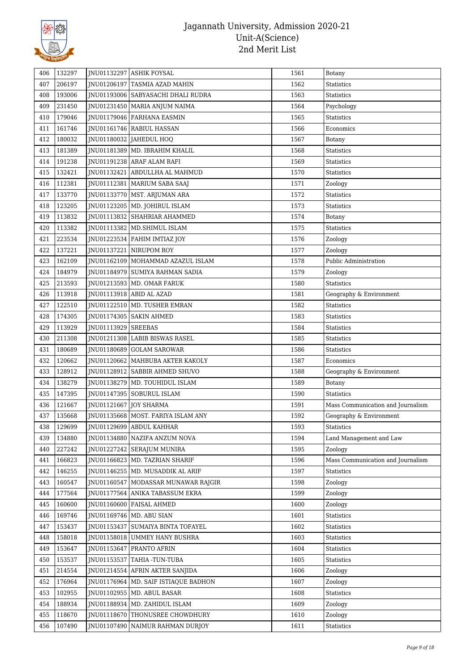

| 406 | 132297 |                        | JNU01132297 ASHIK FOYSAL                 | 1561 | Botany                            |
|-----|--------|------------------------|------------------------------------------|------|-----------------------------------|
| 407 | 206197 |                        | JNU01206197 TASMIA AZAD MAHIN            | 1562 | Statistics                        |
| 408 | 193006 |                        | JNU01193006   SABYASACHI DHALI RUDRA     | 1563 | Statistics                        |
| 409 | 231450 |                        | JNU01231450   MARIA ANJUM NAIMA          | 1564 | Psychology                        |
| 410 | 179046 |                        | JNU01179046 FARHANA EASMIN               | 1565 | Statistics                        |
| 411 | 161746 |                        | JNU01161746 RABIUL HASSAN                | 1566 | Economics                         |
| 412 | 180032 |                        | JNU01180032 JAHEDUL HOQ                  | 1567 | <b>Botany</b>                     |
| 413 | 181389 |                        | JNU01181389   MD. IBRAHIM KHALIL         | 1568 | Statistics                        |
| 414 | 191238 |                        | JNU01191238 ARAF ALAM RAFI               | 1569 | Statistics                        |
| 415 | 132421 |                        | JNU01132421 ABDULLHA AL MAHMUD           | 1570 | Statistics                        |
| 416 | 112381 |                        | JNU01112381   MARIUM SABA SAAJ           | 1571 | Zoology                           |
| 417 | 133770 |                        | JNU01133770   MST. ARJUMAN ARA           | 1572 | Statistics                        |
| 418 | 123205 |                        | JNU01123205   MD. JOHIRUL ISLAM          | 1573 | Statistics                        |
| 419 | 113832 |                        | JNU01113832 SHAHRIAR AHAMMED             | 1574 | Botany                            |
| 420 | 113382 |                        | JNU01113382   MD.SHIMUL ISLAM            | 1575 | Statistics                        |
| 421 | 223534 |                        | JNU01223534   FAHIM IMTIAZ JOY           | 1576 | Zoology                           |
| 422 | 137221 |                        | JNU01137221 NIRUPOM ROY                  | 1577 | Zoology                           |
| 423 | 162109 |                        | JNU01162109 MOHAMMAD AZAZUL ISLAM        | 1578 | Public Administration             |
| 424 | 184979 |                        | JNU01184979 SUMIYA RAHMAN SADIA          | 1579 | Zoology                           |
| 425 | 213593 |                        | JNU01213593   MD. OMAR FARUK             | 1580 | Statistics                        |
| 426 | 113918 |                        | JNU01113918 ABID AL AZAD                 | 1581 | Geography & Environment           |
| 427 | 122510 |                        | JNU01122510   MD. TUSHER EMRAN           | 1582 | Statistics                        |
| 428 | 174305 |                        | JNU01174305   SAKIN AHMED                | 1583 | Statistics                        |
| 429 | 113929 | JNU01113929 SREEBAS    |                                          | 1584 | Statistics                        |
| 430 | 211308 |                        | JNU01211308 LABIB BISWAS RASEL           | 1585 | Statistics                        |
| 431 | 180689 |                        | JNU01180689 GOLAM SAROWAR                | 1586 | Statistics                        |
| 432 | 120662 |                        | JNU01120662   MAHBUBA AKTER KAKOLY       | 1587 | Economics                         |
| 433 | 128912 |                        | JNU01128912 SABBIR AHMED SHUVO           | 1588 | Geography & Environment           |
| 434 | 138279 |                        | INU01138279 MD. TOUHIDUL ISLAM           | 1589 | Botany                            |
| 435 | 147395 |                        | JNU01147395 SOBURUL ISLAM                | 1590 | <b>Statistics</b>                 |
| 436 | 121667 | JNU01121667 JOY SHARMA |                                          | 1591 | Mass Communication and Journalism |
| 437 | 135668 |                        | JNU01135668   MOST. FARIYA ISLAM ANY     | 1592 | Geography & Environment           |
| 438 | 129699 |                        | JNU01129699 ABDUL KAHHAR                 | 1593 | Statistics                        |
| 439 | 134880 |                        | JNU01134880 NAZIFA ANZUM NOVA            | 1594 | Land Management and Law           |
| 440 | 227242 |                        | JNU01227242 SERAJUM MUNIRA               | 1595 | Zoology                           |
| 441 | 166823 |                        | JNU01166823 MD. TAZRIAN SHARIF           | 1596 | Mass Communication and Journalism |
| 442 | 146255 |                        | JNU01146255   MD. MUSADDIK AL ARIF       | 1597 | Statistics                        |
| 443 | 160547 |                        | JNU01160547   MODASSAR MUNAWAR RAJGIR    | 1598 | Zoology                           |
| 444 | 177564 |                        | JNU01177564 ANIKA TABASSUM EKRA          | 1599 | Zoology                           |
| 445 | 160600 |                        | JNU01160600 FAISAL AHMED                 | 1600 | Zoology                           |
| 446 | 169746 |                        | JNU01169746   MD. ABU SIAN               | 1601 | Statistics                        |
| 447 | 153437 |                        | <b>INU01153437 SUMAIYA BINTA TOFAYEL</b> | 1602 | Statistics                        |
| 448 | 158018 |                        | JNU01158018 UMMEY HANY BUSHRA            | 1603 | Statistics                        |
| 449 | 153647 |                        | JNU01153647 PRANTO AFRIN                 | 1604 | Statistics                        |
| 450 | 153537 | JNU01153537            | TAHIA -TUN-TUBA                          | 1605 | Statistics                        |
| 451 | 214554 |                        | JNU01214554 AFRIN AKTER SANJIDA          | 1606 | Zoology                           |
| 452 | 176964 |                        | JNU01176964 MD. SAIF ISTIAQUE BADHON     | 1607 | Zoology                           |
| 453 | 102955 |                        | JNU01102955   MD. ABUL BASAR             | 1608 | Statistics                        |
| 454 | 188934 | JNU01188934            | MD. ZAHIDUL ISLAM                        | 1609 | Zoology                           |
| 455 | 118670 |                        | JNU01118670 THONUSREE CHOWDHURY          | 1610 | Zoology                           |
| 456 | 107490 |                        | JNU01107490   NAIMUR RAHMAN DURJOY       | 1611 | Statistics                        |
|     |        |                        |                                          |      |                                   |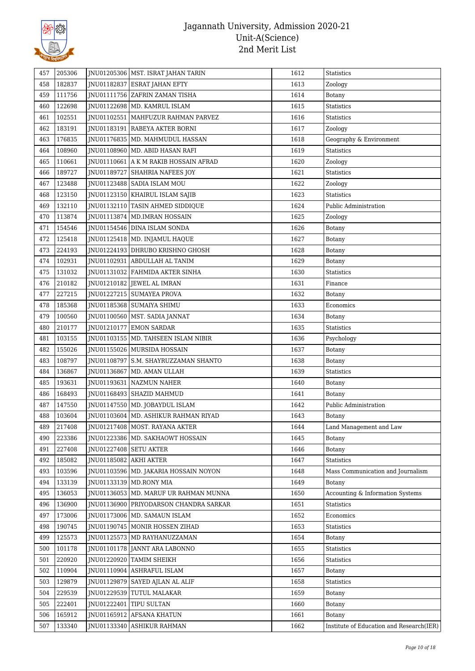

| 457 | 205306 |                        | JNU01205306   MST. ISRAT JAHAN TARIN    | 1612 | Statistics                               |
|-----|--------|------------------------|-----------------------------------------|------|------------------------------------------|
| 458 | 182837 |                        | JNU01182837 ESRAT JAHAN EFTY            | 1613 | Zoology                                  |
| 459 | 111756 |                        | JNU01111756 ZAFRIN ZAMAN TISHA          | 1614 | Botany                                   |
| 460 | 122698 |                        | JNU01122698   MD. KAMRUL ISLAM          | 1615 | Statistics                               |
|     | 102551 |                        | INU01102551   MAHFUZUR RAHMAN PARVEZ    | 1616 |                                          |
| 461 |        |                        |                                         |      | Statistics                               |
| 462 | 183191 |                        | JNU01183191 RABEYA AKTER BORNI          | 1617 | Zoology                                  |
| 463 | 176835 |                        | JNU01176835   MD. MAHMUDUL HASSAN       | 1618 | Geography & Environment                  |
| 464 | 108960 |                        | JNU01108960   MD. ABID HASAN RAFI       | 1619 | <b>Statistics</b>                        |
| 465 | 110661 |                        | JNU01110661   A K M RAKIB HOSSAIN AFRAD | 1620 | Zoology                                  |
| 466 | 189727 |                        | JNU01189727   SHAHRIA NAFEES JOY        | 1621 | Statistics                               |
| 467 | 123488 |                        | JNU01123488 SADIA ISLAM MOU             | 1622 | Zoology                                  |
| 468 | 123150 |                        | JNU01123150 KHAIRUL ISLAM SAJIB         | 1623 | Statistics                               |
| 469 | 132110 |                        | JNU01132110   TASIN AHMED SIDDIQUE      | 1624 | Public Administration                    |
| 470 | 113874 |                        | JNU01113874 MD.IMRAN HOSSAIN            | 1625 | Zoology                                  |
| 471 | 154546 |                        | JNU01154546 DINA ISLAM SONDA            | 1626 | Botany                                   |
| 472 | 125418 |                        | JNU01125418   MD. INJAMUL HAQUE         | 1627 | Botany                                   |
| 473 | 224193 |                        | JNU01224193 DHRUBO KRISHNO GHOSH        | 1628 | Botany                                   |
| 474 | 102931 |                        | JNU01102931 ABDULLAH AL TANIM           | 1629 | <b>Botany</b>                            |
| 475 | 131032 |                        | JNU01131032 FAHMIDA AKTER SINHA         | 1630 | Statistics                               |
| 476 | 210182 |                        | JNU01210182 JEWEL AL IMRAN              | 1631 | Finance                                  |
| 477 | 227215 |                        | JNU01227215   SUMAYEA PROVA             | 1632 | Botany                                   |
| 478 | 185368 |                        | JNU01185368   SUMAIYA SHIMU             | 1633 | Economics                                |
| 479 | 100560 |                        | JNU01100560   MST. SADIA JANNAT         | 1634 | <b>Botany</b>                            |
| 480 | 210177 |                        | JNU01210177 EMON SARDAR                 | 1635 | Statistics                               |
| 481 | 103155 |                        | JNU01103155   MD. TAHSEEN ISLAM NIBIR   | 1636 | Psychology                               |
| 482 | 155026 |                        | JNU01155026   MURSIDA HOSSAIN           | 1637 | Botany                                   |
| 483 | 108797 |                        | JNU01108797   S.M. SHAYRUZZAMAN SHANTO  | 1638 | Botany                                   |
| 484 | 136867 |                        | JNU01136867   MD. AMAN ULLAH            | 1639 | Statistics                               |
| 485 | 193631 |                        | JNU01193631   NAZMUN NAHER              | 1640 | Botany                                   |
| 486 | 168493 |                        | JNU01168493   SHAZID MAHMUD             | 1641 | Botany                                   |
| 487 | 147550 |                        | JNU01147550   MD. JOBAYDUL ISLAM        | 1642 | Public Administration                    |
| 488 | 103604 |                        | JNU01103604   MD. ASHIKUR RAHMAN RIYAD  | 1643 | <b>Botany</b>                            |
| 489 | 217408 |                        | JNU01217408 MOST. RAYANA AKTER          | 1644 | Land Management and Law                  |
| 490 | 223386 |                        | JNU01223386   MD. SAKHAOWT HOSSAIN      | 1645 | Botany                                   |
| 491 | 227408 | JNU01227408 SETU AKTER |                                         | 1646 | Botany                                   |
| 492 | 185082 | JNU01185082 AKHI AKTER |                                         | 1647 | Statistics                               |
|     |        |                        |                                         |      |                                          |
| 493 | 103596 |                        | JNU01103596   MD. JAKARIA HOSSAIN NOYON | 1648 | Mass Communication and Journalism        |
| 494 | 133139 |                        | JNU01133139   MD.RONY MIA               | 1649 | Botany                                   |
| 495 | 136053 |                        | JNU01136053   MD. MARUF UR RAHMAN MUNNA | 1650 | Accounting & Information Systems         |
| 496 | 136900 |                        | INU01136900 PRIYODARSON CHANDRA SARKAR  | 1651 | <b>Statistics</b>                        |
| 497 | 173006 |                        | JNU01173006 MD. SAMAUN ISLAM            | 1652 | Economics                                |
| 498 | 190745 |                        | JNU01190745   MONIR HOSSEN ZIHAD        | 1653 | <b>Statistics</b>                        |
| 499 | 125573 |                        | JNU01125573   MD RAYHANUZZAMAN          | 1654 | Botany                                   |
| 500 | 101178 |                        | JNU01101178 JANNT ARA LABONNO           | 1655 | Statistics                               |
| 501 | 220920 |                        | JNU01220920 TAMIM SHEIKH                | 1656 | Statistics                               |
| 502 | 110904 |                        | JNU01110904 ASHRAFUL ISLAM              | 1657 | Botany                                   |
| 503 | 129879 |                        | JNU01129879   SAYED AJLAN AL ALIF       | 1658 | Statistics                               |
| 504 | 229539 |                        | JNU01229539   TUTUL MALAKAR             | 1659 | Botany                                   |
| 505 | 222401 |                        | JNU01222401 TIPU SULTAN                 | 1660 | Botany                                   |
| 506 | 165912 |                        | JNU01165912 AFSANA KHATUN               | 1661 | Botany                                   |
| 507 | 133340 |                        | JNU01133340 ASHIKUR RAHMAN              | 1662 | Institute of Education and Research(IER) |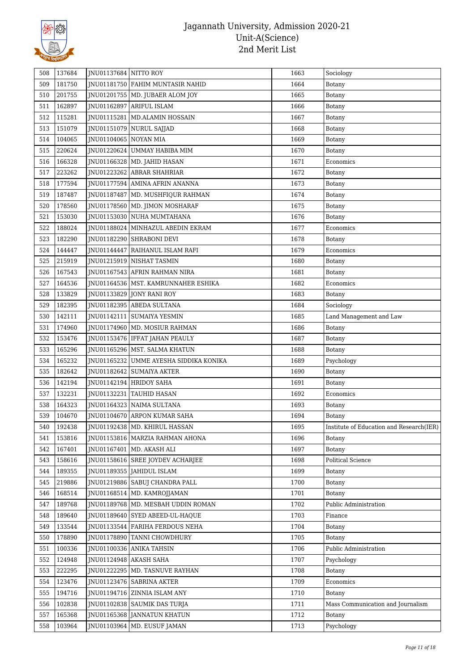

| 508 | 137684 | JNU01137684 NITTO ROY |                                        | 1663 | Sociology                                |
|-----|--------|-----------------------|----------------------------------------|------|------------------------------------------|
| 509 | 181750 |                       | JNU01181750   FAHIM MUNTASIR NAHID     | 1664 | <b>Botany</b>                            |
| 510 | 201755 |                       | JNU01201755   MD. JUBAER ALOM JOY      | 1665 | Botany                                   |
| 511 | 162897 |                       | JNU01162897 ARIFUL ISLAM               | 1666 | Botany                                   |
| 512 | 115281 |                       | JNU01115281   MD.ALAMIN HOSSAIN        | 1667 | Botany                                   |
| 513 | 151079 |                       | JNU01151079 NURUL SAJJAD               | 1668 | <b>Botany</b>                            |
| 514 | 104065 | JNU01104065 NOYAN MIA |                                        | 1669 | Botany                                   |
| 515 | 220624 |                       | JNU01220624 UMMAY HABIBA MIM           | 1670 | Botany                                   |
| 516 | 166328 |                       | JNU01166328 MD. JAHID HASAN            | 1671 | Economics                                |
| 517 | 223262 |                       | JNU01223262 ABRAR SHAHRIAR             | 1672 | Botany                                   |
| 518 | 177594 |                       | JNU01177594 AMINA AFRIN ANANNA         | 1673 | Botany                                   |
| 519 | 187487 |                       | JNU01187487   MD. MUSHFIQUR RAHMAN     | 1674 | Botany                                   |
| 520 | 178560 |                       | JNU01178560   MD. JIMON MOSHARAF       | 1675 | Botany                                   |
| 521 | 153030 |                       | JNU01153030 NUHA MUMTAHANA             | 1676 | Botany                                   |
| 522 | 188024 |                       | JNU01188024   MINHAZUL ABEDIN EKRAM    | 1677 | Economics                                |
| 523 | 182290 |                       | JNU01182290 SHRABONI DEVI              | 1678 | <b>Botany</b>                            |
| 524 | 144447 |                       | JNU01144447   RAIHANUL ISLAM RAFI      | 1679 | Economics                                |
| 525 | 215919 |                       | JNU01215919 NISHAT TASMIN              | 1680 | Botany                                   |
| 526 | 167543 |                       | JNU01167543 AFRIN RAHMAN NIRA          | 1681 | Botany                                   |
| 527 | 164536 |                       | JNU01164536   MST. KAMRUNNAHER ESHIKA  | 1682 | Economics                                |
| 528 | 133829 |                       | JNU01133829 JONY RANI ROY              | 1683 | Botany                                   |
| 529 | 182395 |                       | JNU01182395   ABEDA SULTANA            | 1684 | Sociology                                |
| 530 | 142111 |                       | JNU01142111   SUMAIYA YESMIN           | 1685 | Land Management and Law                  |
| 531 | 174960 |                       | JNU01174960   MD. MOSIUR RAHMAN        | 1686 | Botany                                   |
| 532 | 153476 |                       | JNU01153476   IFFAT JAHAN PEAULY       | 1687 | Botany                                   |
| 533 | 165296 |                       | JNU01165296   MST. SALMA KHATUN        | 1688 | <b>Botany</b>                            |
| 534 | 165232 |                       | JNU01165232 UMME AYESHA SIDDIKA KONIKA | 1689 | Psychology                               |
| 535 | 182642 |                       | JNU01182642   SUMAIYA AKTER            | 1690 | Botany                                   |
| 536 | 142194 |                       | JNU01142194   HRIDOY SAHA              | 1691 | Botany                                   |
| 537 | 132231 |                       | JNU01132231   TAUHID HASAN             | 1692 | Economics                                |
| 538 | 164323 |                       | JNU01164323 NAIMA SULTANA              | 1693 | Botany                                   |
| 539 | 104670 |                       | JNU01104670 ARPON KUMAR SAHA           | 1694 | Botany                                   |
| 540 | 192438 |                       | JNU01192438   MD. KHIRUL HASSAN        | 1695 | Institute of Education and Research(IER) |
| 541 | 153816 |                       | JNU01153816   MARZIA RAHMAN AHONA      | 1696 | Botany                                   |
| 542 | 167401 |                       | JNU01167401   MD. AKASH ALI            | 1697 | Botany                                   |
| 543 | 158616 |                       | JNU01158616 SREE JOYDEV ACHARJEE       | 1698 | Political Science                        |
| 544 | 189355 |                       | JNU01189355   JAHIDUL ISLAM            | 1699 | Botany                                   |
| 545 | 219886 |                       | JNU01219886   SABUJ CHANDRA PALL       | 1700 | Botany                                   |
| 546 | 168514 |                       | JNU01168514   MD. KAMROJJAMAN          | 1701 | Botany                                   |
| 547 | 189768 |                       | JNU01189768 MD. MESBAH UDDIN ROMAN     | 1702 | Public Administration                    |
| 548 | 189640 |                       | JNU01189640 SYED ABEED-UL-HAQUE        | 1703 | Finance                                  |
| 549 | 133544 |                       | JNU01133544 FARIHA FERDOUS NEHA        | 1704 | Botany                                   |
| 550 | 178890 |                       | JNU01178890 TANNI CHOWDHURY            | 1705 | Botany                                   |
| 551 | 100336 |                       | JNU01100336 ANIKA TAHSIN               | 1706 | Public Administration                    |
| 552 | 124948 |                       | JNU01124948   AKASH SAHA               | 1707 | Psychology                               |
| 553 | 222295 |                       | JNU01222295   MD. TASNUVE RAYHAN       | 1708 | Botany                                   |
| 554 | 123476 |                       | JNU01123476   SABRINA AKTER            | 1709 | Economics                                |
| 555 | 194716 |                       | JNU01194716 ZINNIA ISLAM ANY           | 1710 | Botany                                   |
| 556 | 102838 |                       | JNU01102838   SAUMIK DAS TURJA         | 1711 | Mass Communication and Journalism        |
| 557 | 165368 |                       | JNU01165368 JANNATUN KHATUN            | 1712 | Botany                                   |
| 558 | 103964 |                       | JNU01103964   MD. EUSUF JAMAN          | 1713 | Psychology                               |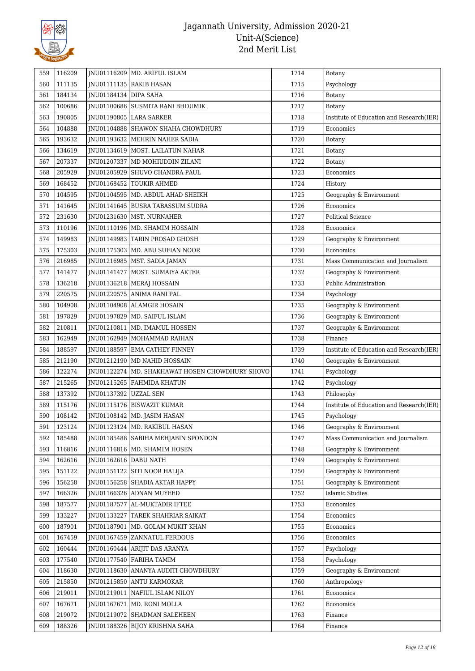

| 559        | 116209           |                         | JNU01116209   MD. ARIFUL ISLAM                                 | 1714         | Botany                                   |
|------------|------------------|-------------------------|----------------------------------------------------------------|--------------|------------------------------------------|
| 560        | 111135           |                         | JNU01111135 RAKIB HASAN                                        | 1715         | Psychology                               |
| 561        | 184134           | JNU01184134 DIPA SAHA   |                                                                | 1716         | Botany                                   |
| 562        | 100686           |                         | JNU01100686 SUSMITA RANI BHOUMIK                               | 1717         | Botany                                   |
| 563        | 190805           |                         | JNU01190805 LARA SARKER                                        | 1718         | Institute of Education and Research(IER) |
| 564        | 104888           |                         | JNU01104888 SHAWON SHAHA CHOWDHURY                             | 1719         | Economics                                |
| 565        | 193632           |                         | JNU01193632   MEHRIN NAHER SADIA                               | 1720         | Botany                                   |
| 566        | 134619           |                         | JNU01134619   MOST. LAILATUN NAHAR                             | 1721         | Botany                                   |
| 567        | 207337           |                         | JNU01207337   MD MOHIUDDIN ZILANI                              | 1722         | Botany                                   |
| 568        | 205929           |                         | JNU01205929 SHUVO CHANDRA PAUL                                 | 1723         | Economics                                |
| 569        | 168452           |                         | JNU01168452 TOUKIR AHMED                                       | 1724         | History                                  |
| 570        | 104595           |                         | JNU01104595   MD. ABDUL AHAD SHEIKH                            | 1725         | Geography & Environment                  |
| 571        | 141645           |                         | JNU01141645   BUSRA TABASSUM SUDRA                             | 1726         | Economics                                |
| 572        | 231630           |                         | JNU01231630   MST. NURNAHER                                    | 1727         | <b>Political Science</b>                 |
| 573        | 110196           |                         | JNU01110196   MD. SHAMIM HOSSAIN                               | 1728         | Economics                                |
| 574        | 149983           |                         | JNU01149983 TARIN PROSAD GHOSH                                 | 1729         | Geography & Environment                  |
| 575        | 175303           |                         | JNU01175303   MD. ABU SUFIAN NOOR                              | 1730         | Economics                                |
| 576        | 216985           |                         | JNU01216985   MST. SADIA JAMAN                                 | 1731         | Mass Communication and Journalism        |
| 577        | 141477           |                         | JNU01141477 MOST. SUMAIYA AKTER                                | 1732         | Geography & Environment                  |
| 578        | 136218           |                         | JNU01136218 MERAJ HOSSAIN                                      | 1733         | Public Administration                    |
| 579        | 220575           |                         | JNU01220575 ANIMA RANI PAL                                     | 1734         | Psychology                               |
| 580        | 104908           |                         | JNU01104908 ALAMGIR HOSAIN                                     | 1735         | Geography & Environment                  |
| 581        | 197829           |                         | JNU01197829   MD. SAIFUL ISLAM                                 | 1736         | Geography & Environment                  |
| 582        | 210811           |                         | JNU01210811   MD. IMAMUL HOSSEN                                | 1737         | Geography & Environment                  |
| 583        | 162949           |                         | JNU01162949   MOHAMMAD RAIHAN                                  | 1738         | Finance                                  |
| 584        | 188597           |                         | JNU01188597 EMA CATHEY FINNEY                                  | 1739         | Institute of Education and Research(IER) |
| 585        | 212190           |                         | JNU01212190   MD NAHID HOSSAIN                                 | 1740         | Geography & Environment                  |
| 586        | 122274           |                         | JNU01122274   MD. SHAKHAWAT HOSEN CHOWDHURY SHOVO              | 1741         | Psychology                               |
| 587        | 215265           |                         | JNU01215265   FAHMIDA KHATUN                                   | 1742         | Psychology                               |
|            |                  |                         |                                                                |              |                                          |
|            |                  |                         |                                                                |              |                                          |
| 588        | 137392           | JNU01137392   UZZAL SEN |                                                                | 1743         | Philosophy                               |
| 589        | 115176           |                         | JNU01115176 BISWAZIT KUMAR                                     | 1744         | Institute of Education and Research(IER) |
| 590        | 108142           |                         | JNU01108142 MD. JASIM HASAN                                    | 1745         | Psychology                               |
| 591        | 123124           |                         | JNU01123124   MD. RAKIBUL HASAN                                | 1746         | Geography & Environment                  |
| 592        | 185488           |                         | JNU01185488   SABIHA MEHJABIN SPONDON                          | 1747         | Mass Communication and Journalism        |
| 593        | 116816           |                         | JNU01116816   MD. SHAMIM HOSEN                                 | 1748         | Geography & Environment                  |
| 594        | 162616           | JNU01162616 DABU NATH   |                                                                | 1749         | Geography & Environment                  |
| 595        | 151122           |                         | JNU01151122 SITI NOOR HALIJA                                   | 1750         | Geography & Environment                  |
| 596        | 156258           |                         | JNU01156258 SHADIA AKTAR HAPPY                                 | 1751         | Geography & Environment                  |
| 597        | 166326           |                         | JNU01166326 ADNAN MUYEED                                       | 1752         | <b>Islamic Studies</b>                   |
| 598        | 187577           |                         | JNU01187577 AL-MUKTADIR IFTEE                                  | 1753         | Economics                                |
| 599        | 133227           |                         | JNU01133227 TAREK SHAHRIAR SAIKAT                              | 1754         | Economics                                |
| 600        | 187901           |                         | JNU01187901   MD. GOLAM MUKIT KHAN                             | 1755         | Economics                                |
| 601        | 167459           |                         | JNU01167459 ZANNATUL FERDOUS                                   | 1756         | Economics                                |
| 602        | 160444           |                         | JNU01160444 ARIJIT DAS ARANYA                                  | 1757         | Psychology                               |
| 603        | 177540           |                         | JNU01177540   FARIHA TAMIM                                     | 1758         | Psychology                               |
| 604        | 118630           |                         | JNU01118630 ANANYA AUDITI CHOWDHURY                            | 1759         | Geography & Environment                  |
| 605        | 215850           |                         | JNU01215850 ANTU KARMOKAR                                      | 1760         | Anthropology                             |
| 606        | 219011           |                         | JNU01219011   NAFIUL ISLAM NILOY                               | 1761         | Economics                                |
| 607        | 167671           |                         | JNU01167671   MD. RONI MOLLA                                   | 1762         | Economics                                |
| 608<br>609 | 219072<br>188326 |                         | JNU01219072 SHADMAN SALEHEEN<br>JNU01188326 BIJOY KRISHNA SAHA | 1763<br>1764 | Finance<br>Finance                       |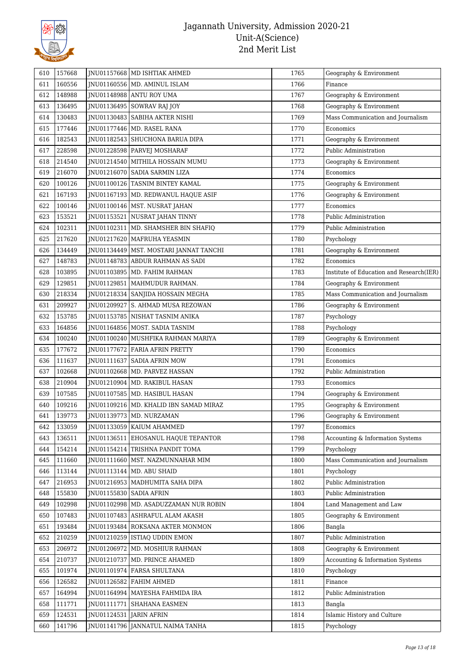

| 610 | 157668 |                           | JNU01157668 MD ISHTIAK AHMED             | 1765 | Geography & Environment                  |
|-----|--------|---------------------------|------------------------------------------|------|------------------------------------------|
| 611 | 160556 |                           | JNU01160556   MD. AMINUL ISLAM           | 1766 | Finance                                  |
| 612 | 148988 |                           | JNU01148988 ANTU ROY UMA                 | 1767 | Geography & Environment                  |
| 613 | 136495 |                           | JNU01136495   SOWRAV RAJ JOY             | 1768 | Geography & Environment                  |
| 614 | 130483 |                           | JNU01130483 SABIHA AKTER NISHI           | 1769 | Mass Communication and Journalism        |
| 615 | 177446 |                           | JNU01177446   MD. RASEL RANA             | 1770 | Economics                                |
| 616 | 182543 |                           | JNU01182543 SHUCHONA BARUA DIPA          | 1771 | Geography & Environment                  |
| 617 | 228598 |                           | JNU01228598   PARVEJ MOSHARAF            | 1772 | Public Administration                    |
| 618 | 214540 |                           | JNU01214540   MITHILA HOSSAIN MUMU       | 1773 | Geography & Environment                  |
| 619 | 216070 |                           | JNU01216070   SADIA SARMIN LIZA          | 1774 | Economics                                |
| 620 | 100126 |                           | JNU01100126 TASNIM BINTEY KAMAL          | 1775 | Geography & Environment                  |
| 621 | 167193 |                           | JNU01167193   MD. REDWANUL HAQUE ASIF    | 1776 | Geography & Environment                  |
| 622 | 100146 |                           | JNU01100146   MST. NUSRAT JAHAN          | 1777 | Economics                                |
| 623 | 153521 |                           | JNU01153521   NUSRAT JAHAN TINNY         | 1778 | Public Administration                    |
| 624 | 102311 |                           | JNU01102311   MD. SHAMSHER BIN SHAFIQ    | 1779 | Public Administration                    |
| 625 | 217620 |                           | JNU01217620   MAFRUHA YEASMIN            | 1780 | Psychology                               |
| 626 | 134449 |                           | JNU01134449   MST. MOSTARI JANNAT TANCHI | 1781 | Geography & Environment                  |
| 627 | 148783 |                           | JNU01148783 ABDUR RAHMAN AS SADI         | 1782 | Economics                                |
| 628 | 103895 |                           | JNU01103895   MD. FAHIM RAHMAN           | 1783 | Institute of Education and Research(IER) |
| 629 | 129851 |                           | JNU01129851   MAHMUDUR RAHMAN.           | 1784 | Geography & Environment                  |
| 630 | 218334 |                           | JNU01218334 SANJIDA HOSSAIN MEGHA        | 1785 | Mass Communication and Journalism        |
| 631 | 209927 |                           | JNU01209927 S. AHMAD MUSA REZOWAN        | 1786 | Geography & Environment                  |
| 632 | 153785 |                           | JNU01153785   NISHAT TASNIM ANIKA        | 1787 | Psychology                               |
| 633 | 164856 |                           | JNU01164856   MOST. SADIA TASNIM         | 1788 | Psychology                               |
| 634 | 100240 |                           | JNU01100240   MUSHFIKA RAHMAN MARIYA     | 1789 | Geography & Environment                  |
| 635 | 177672 |                           | JNU01177672 FARIA AFRIN PRETTY           | 1790 | Economics                                |
| 636 | 111637 |                           | JNU01111637 SADIA AFRIN MOW              | 1791 | Economics                                |
| 637 | 102668 |                           | JNU01102668   MD. PARVEZ HASSAN          | 1792 | Public Administration                    |
| 638 | 210904 |                           | JNU01210904   MD. RAKIBUL HASAN          | 1793 | Economics                                |
| 639 | 107585 |                           | JNU01107585   MD. HASIBUL HASAN          | 1794 | Geography & Environment                  |
| 640 | 109216 |                           | JNU01109216   MD. KHALID IBN SAMAD MIRAZ | 1795 | Geography & Environment                  |
| 641 | 139773 |                           | JNU01139773 MD. NURZAMAN                 | 1796 | Geography & Environment                  |
| 642 | 133059 |                           | JNU01133059   KAIUM AHAMMED              | 1797 | Economics                                |
| 643 | 136511 |                           | JNU01136511 EHOSANUL HAQUE TEPANTOR      | 1798 | Accounting & Information Systems         |
| 644 | 154214 |                           | JNU01154214 TRISHNA PANDIT TOMA          | 1799 | Psychology                               |
| 645 | 111660 |                           | JNU01111660   MST. NAZMUNNAHAR MIM       | 1800 | Mass Communication and Journalism        |
| 646 | 113144 |                           | JNU01113144   MD. ABU SHAID              | 1801 | Psychology                               |
| 647 | 216953 |                           | JNU01216953   MADHUMITA SAHA DIPA        | 1802 | Public Administration                    |
| 648 | 155830 | JNU01155830   SADIA AFRIN |                                          | 1803 | Public Administration                    |
| 649 | 102998 |                           | JNU01102998   MD. ASADUZZAMAN NUR ROBIN  | 1804 | Land Management and Law                  |
| 650 | 107483 |                           | JNU01107483 ASHRAFUL ALAM AKASH          | 1805 | Geography & Environment                  |
| 651 | 193484 |                           | <b>INU01193484 ROKSANA AKTER MONMON</b>  | 1806 | Bangla                                   |
| 652 | 210259 |                           | JNU01210259   ISTIAQ UDDIN EMON          | 1807 | Public Administration                    |
| 653 | 206972 |                           | JNU01206972   MD. MOSHIUR RAHMAN         | 1808 | Geography & Environment                  |
| 654 | 210737 |                           | JNU01210737   MD. PRINCE AHAMED          | 1809 | Accounting & Information Systems         |
| 655 | 101974 |                           | JNU01101974 FARSA SHULTANA               | 1810 | Psychology                               |
| 656 | 126582 |                           | JNU01126582 FAHIM AHMED                  | 1811 | Finance                                  |
| 657 | 164994 |                           | JNU01164994   MAYESHA FAHMIDA IRA        | 1812 | Public Administration                    |
| 658 | 111771 |                           | JNU01111771 SHAHANA EASMEN               | 1813 | Bangla                                   |
| 659 | 124531 | JNU01124531 JARIN AFRIN   |                                          | 1814 | Islamic History and Culture              |
| 660 | 141796 |                           | JNU01141796 JANNATUL NAIMA TANHA         | 1815 | Psychology                               |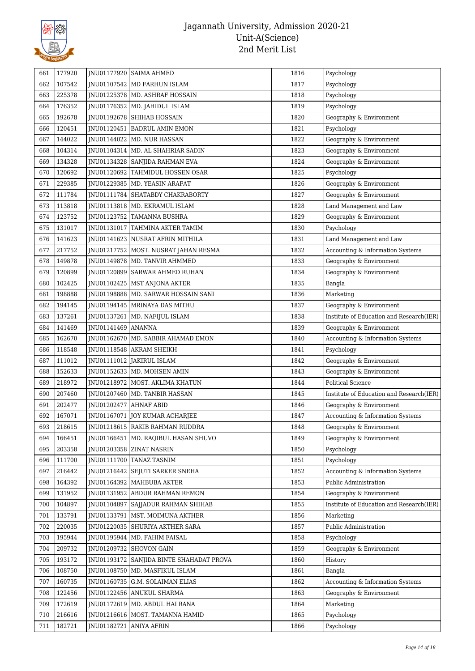

| 661 | 177920 |                        | JNU01177920   SAIMA AHMED                  | 1816 | Psychology                               |
|-----|--------|------------------------|--------------------------------------------|------|------------------------------------------|
| 662 | 107542 |                        | JNU01107542 MD FARHUN ISLAM                | 1817 | Psychology                               |
| 663 | 225378 |                        | JNU01225378   MD. ASHRAF HOSSAIN           | 1818 | Psychology                               |
| 664 | 176352 |                        | JNU01176352   MD. JAHIDUL ISLAM            | 1819 | Psychology                               |
| 665 | 192678 |                        | JNU01192678 SHIHAB HOSSAIN                 | 1820 | Geography & Environment                  |
| 666 | 120451 |                        | JNU01120451 BADRUL AMIN EMON               | 1821 | Psychology                               |
| 667 | 144022 |                        | JNU01144022   MD. NUR HASSAN               | 1822 | Geography & Environment                  |
| 668 | 104314 |                        | JNU01104314   MD. AL SHAHRIAR SADIN        | 1823 | Geography & Environment                  |
| 669 | 134328 |                        | JNU01134328   SANJIDA RAHMAN EVA           | 1824 | Geography & Environment                  |
| 670 | 120692 |                        | JNU01120692 TAHMIDUL HOSSEN OSAR           | 1825 | Psychology                               |
| 671 | 229385 |                        | JNU01229385   MD. YEASIN ARAFAT            | 1826 | Geography & Environment                  |
| 672 | 111784 |                        | JNU01111784   SHATABDY CHAKRABORTY         | 1827 | Geography & Environment                  |
| 673 | 113818 |                        | JNU01113818   MD. EKRAMUL ISLAM            | 1828 | Land Management and Law                  |
| 674 | 123752 |                        | JNU01123752 TAMANNA BUSHRA                 | 1829 | Geography & Environment                  |
| 675 | 131017 |                        | JNU01131017   TAHMINA AKTER TAMIM          | 1830 | Psychology                               |
| 676 | 141623 |                        | JNU01141623   NUSRAT AFRIN MITHILA         | 1831 | Land Management and Law                  |
| 677 | 217752 |                        | JNU01217752   MOST. NUSRAT JAHAN RESMA     | 1832 | Accounting & Information Systems         |
| 678 | 149878 |                        | JNU01149878   MD. TANVIR AHMMED            | 1833 | Geography & Environment                  |
| 679 | 120899 |                        | JNU01120899   SARWAR AHMED RUHAN           | 1834 | Geography & Environment                  |
| 680 | 102425 |                        | JNU01102425   MST ANJONA AKTER             | 1835 | Bangla                                   |
| 681 | 198888 |                        | JNU01198888   MD. SARWAR HOSSAIN SANI      | 1836 | Marketing                                |
| 682 | 194145 |                        | JNU01194145   MRINAYA DAS MITHU            | 1837 | Geography & Environment                  |
| 683 | 137261 |                        | JNU01137261   MD. NAFIJUL ISLAM            | 1838 | Institute of Education and Research(IER) |
| 684 | 141469 | JNU01141469 ANANNA     |                                            | 1839 | Geography & Environment                  |
| 685 | 162670 |                        | JNU01162670   MD. SABBIR AHAMAD EMON       | 1840 | Accounting & Information Systems         |
| 686 | 118548 |                        | JNU01118548 AKRAM SHEIKH                   | 1841 | Psychology                               |
| 687 | 111012 |                        | JNU01111012 JAKIRUL ISLAM                  | 1842 | Geography & Environment                  |
| 688 | 152633 |                        | JNU01152633   MD. MOHSEN AMIN              | 1843 | Geography & Environment                  |
| 689 | 218972 |                        | JNU01218972   MOST. AKLIMA KHATUN          | 1844 | <b>Political Science</b>                 |
| 690 | 207460 |                        | JNU01207460   MD. TANBIR HASSAN            | 1845 | Institute of Education and Research(IER) |
| 691 | 202477 | JNU01202477 AHNAF ABID |                                            | 1846 | Geography & Environment                  |
| 692 | 167071 |                        | JNU01167071 JOY KUMAR ACHARJEE             | 1847 | Accounting & Information Systems         |
| 693 | 218615 |                        | JNU01218615 RAKIB RAHMAN RUDDRA            | 1848 | Geography & Environment                  |
| 694 | 166451 |                        | JNU01166451   MD. RAQIBUL HASAN SHUVO      | 1849 | Geography & Environment                  |
| 695 | 203358 |                        | JNU01203358 ZINAT NASRIN                   | 1850 | Psychology                               |
| 696 | 111700 |                        | JNU01111700 TANAZ TASNIM                   | 1851 | Psychology                               |
| 697 | 216442 |                        | JNU01216442 SEJUTI SARKER SNEHA            | 1852 | Accounting & Information Systems         |
| 698 | 164392 |                        | JNU01164392   MAHBUBA AKTER                | 1853 | Public Administration                    |
| 699 | 131952 |                        | JNU01131952 ABDUR RAHMAN REMON             | 1854 | Geography & Environment                  |
| 700 | 104897 | JNU01104897            | SAJJADUR RAHMAN SHIHAB                     | 1855 | Institute of Education and Research(IER) |
| 701 | 133791 | JNU01133791            | MST. MOIMUNA AKTHER                        | 1856 | Marketing                                |
| 702 | 220035 |                        | INU01220035 SHURIYA AKTHER SARA            | 1857 | Public Administration                    |
| 703 | 195944 | JNU01195944            | MD. FAHIM FAISAL                           | 1858 | Psychology                               |
| 704 | 209732 |                        | JNU01209732 SHOVON GAIN                    | 1859 | Geography & Environment                  |
| 705 | 193172 |                        | JNU01193172   SANJIDA BINTE SHAHADAT PROVA | 1860 | History                                  |
| 706 | 108750 | JNU01108750            | MD. MASFIKUL ISLAM                         | 1861 | Bangla                                   |
| 707 | 160735 |                        | JNU01160735 G.M. SOLAIMAN ELIAS            | 1862 | Accounting & Information Systems         |
| 708 | 122456 |                        | JNU01122456 ANUKUL SHARMA                  | 1863 | Geography & Environment                  |
| 709 | 172619 |                        | JNU01172619   MD. ABDUL HAI RANA           | 1864 | Marketing                                |
| 710 | 216616 |                        | JNU01216616   MOST. TAMANNA HAMID          | 1865 | Psychology                               |
| 711 | 182721 | JNU01182721            | ANIYA AFRIN                                | 1866 | Psychology                               |
|     |        |                        |                                            |      |                                          |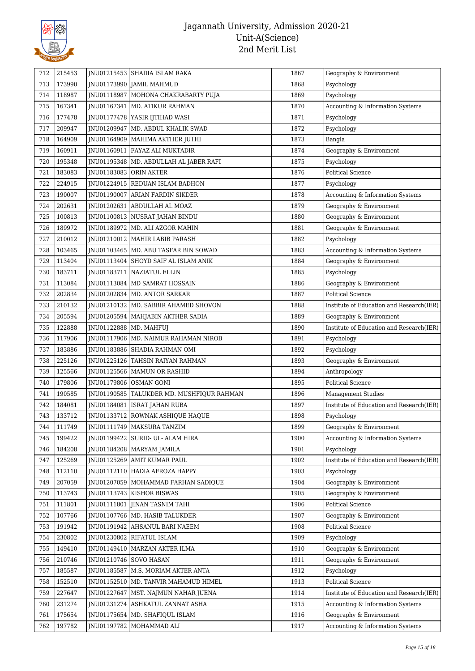

| 173990<br>JNU01173990 JAMIL MAHMUD<br>713<br>1868<br>Psychology<br>118987<br>714<br>JNU01118987   MOHONA CHAKRABARTY PUJA<br>1869<br>Psychology<br>167341<br>1870<br>Accounting & Information Systems<br>715<br>JNU01167341   MD. ATIKUR RAHMAN<br>177478<br>716<br>JNU01177478 YASIR IJTIHAD WASI<br>1871<br>Psychology<br>209947<br>JNU01209947   MD. ABDUL KHALIK SWAD<br>717<br>1872<br>Psychology<br>164909<br>1873<br>718<br>JNU01164909   MAHIMA AKTHER JUTHI<br>Bangla<br>160911<br>1874<br>Geography & Environment<br>719<br>JNU01160911   FAYAZ ALI MUKTADIR<br>195348<br>720<br>JNU01195348   MD. ABDULLAH AL JABER RAFI<br>1875<br>Psychology<br>183083<br>JNU01183083 ORIN AKTER<br>1876<br><b>Political Science</b><br>721<br>722<br>224915<br>JNU01224915 REDUAN ISLAM BADHON<br>1877<br>Psychology<br>190007<br>JNU01190007 ARIAN FARDIN SIKDER<br>1878<br>Accounting & Information Systems<br>723<br>202631<br>JNU01202631 ABDULLAH AL MOAZ<br>1879<br>Geography & Environment<br>724<br>100813<br>725<br>JNU01100813 NUSRAT JAHAN BINDU<br>1880<br>Geography & Environment<br>189972<br>1881<br>726<br>JNU01189972   MD. ALI AZGOR MAHIN<br>Geography & Environment<br>210012<br>727<br>JNU01210012   MAHIR LABIB PARASH<br>1882<br>Psychology<br>728<br>103465<br>JNU01103465   MD. ABU TASFAR BIN SOWAD<br>1883<br>Accounting & Information Systems<br>729<br>113404<br>JNU01113404 SHOYD SAIF AL ISLAM ANIK<br>1884<br>Geography & Environment<br>183711<br>1885<br>730<br>JNU01183711   NAZIATUL ELLIN<br>Psychology<br>113084<br>1886<br>Geography & Environment<br>731<br>JNU01113084   MD SAMRAT HOSSAIN<br>202834<br>732<br>JNU01202834   MD. ANTOR SARKAR<br>1887<br><b>Political Science</b><br>210132<br>733<br>JNU01210132   MD. SABBIR AHAMED SHOVON<br>1888<br>205594<br>1889<br>734<br>JNU01205594   MAHJABIN AKTHER SADIA<br>Geography & Environment<br>122888<br>JNU01122888   MD. MAHFUJ<br>735<br>1890<br>117906<br>736<br>JNU01117906   MD. NAIMUR RAHAMAN NIROB<br>1891<br>Psychology<br>183886<br>1892<br>737<br>JNU01183886   SHADIA RAHMAN OMI<br>Psychology<br>225126<br>738<br>JNU01225126 TAHSIN RAIYAN RAHMAN<br>1893<br>Geography & Environment<br>125566<br>739<br>JNU01125566   MAMUN OR RASHID<br>1894<br>Anthropology<br>179806<br>740<br>JNU01179806 OSMAN GONI<br>1895<br><b>Political Science</b><br>190585<br>741<br>JNU01190585   TALUKDER MD. MUSHFIQUR RAHMAN<br>1896<br><b>Management Studies</b><br>742<br>184081<br>1897<br>JNU01184081   ISRAT JAHAN RUBA<br>133712<br>JNU01133712 ROWNAK ASHIQUE HAQUE<br>743<br>1898<br>Psychology<br>744<br>111749<br> JNU01111749   MAKSURA TANZIM<br>1899<br>Geography & Environment<br>199422<br>JNU01199422<br>1900<br>745<br>SURID- UL- ALAM HIRA<br>Accounting & Information Systems<br>184208<br>JNU01184208 MARYAM JAMILA<br>1901<br>Psychology<br>746<br>125269<br>INU01125269 AMIT KUMAR PAUL<br>1902<br>747<br>112110<br>748<br>JNU01112110   HADIA AFROZA HAPPY<br>1903<br>Psychology<br>207059<br>1904<br>Geography & Environment<br>749<br>JNU01207059   MOHAMMAD FARHAN SADIQUE<br>113743<br>JNU01113743   KISHOR BISWAS<br>1905<br>Geography & Environment<br>750<br>111801<br>751<br>JNU01111801<br><b>JINAN TASNIM TAHI</b><br>1906<br><b>Political Science</b><br>107766<br>752<br>JNU01107766   MD. HASIB TALUKDER<br>1907<br>Geography & Environment<br>191942<br>JNU01191942 AHSANUL BARI NAEEM<br>1908<br>Political Science<br>753<br>230802<br>JNU01230802 RIFATUL ISLAM<br>1909<br>754<br>Psychology<br>149410<br>Geography & Environment<br>JNU01149410   MARZAN AKTER ILMA<br>1910<br>755<br>210746<br>JNU01210746 SOVO HASAN<br>1911<br>Geography & Environment<br>756<br>185587<br>757<br>JNU01185587<br>M.S. MORIAM AKTER ANTA<br>1912<br>Psychology<br>152510<br>JNU01152510   MD. TANVIR MAHAMUD HIMEL<br>1913<br>Political Science<br>758<br>227647<br>JNU01227647   MST. NAJMUN NAHAR JUENA<br>1914<br>759<br>231274<br>JNU01231274   ASHKATUL ZANNAT ASHA<br>1915<br>Accounting & Information Systems<br>760<br>175654<br>1916<br>761<br>JNU01175654<br>MD. SHAFIQUL ISLAM<br>Geography & Environment<br>197782<br>762<br>JNU01197782<br>MOHAMMAD ALI<br>1917<br>Accounting & Information Systems | 712 | 215453 | JNU01215453   SHADIA ISLAM RAKA | 1867 | Geography & Environment |
|---------------------------------------------------------------------------------------------------------------------------------------------------------------------------------------------------------------------------------------------------------------------------------------------------------------------------------------------------------------------------------------------------------------------------------------------------------------------------------------------------------------------------------------------------------------------------------------------------------------------------------------------------------------------------------------------------------------------------------------------------------------------------------------------------------------------------------------------------------------------------------------------------------------------------------------------------------------------------------------------------------------------------------------------------------------------------------------------------------------------------------------------------------------------------------------------------------------------------------------------------------------------------------------------------------------------------------------------------------------------------------------------------------------------------------------------------------------------------------------------------------------------------------------------------------------------------------------------------------------------------------------------------------------------------------------------------------------------------------------------------------------------------------------------------------------------------------------------------------------------------------------------------------------------------------------------------------------------------------------------------------------------------------------------------------------------------------------------------------------------------------------------------------------------------------------------------------------------------------------------------------------------------------------------------------------------------------------------------------------------------------------------------------------------------------------------------------------------------------------------------------------------------------------------------------------------------------------------------------------------------------------------------------------------------------------------------------------------------------------------------------------------------------------------------------------------------------------------------------------------------------------------------------------------------------------------------------------------------------------------------------------------------------------------------------------------------------------------------------------------------------------------------------------------------------------------------------------------------------------------------------------------------------------------------------------------------------------------------------------------------------------------------------------------------------------------------------------------------------------------------------------------------------------------------------------------------------------------------------------------------------------------------------------------------------------------------------------------------------------------------------------------------------------------------------------------------------------------------------------------------------------------------------------------------------------------------------------------------------------------------------------------------------------------------------------------------------------------------------------------------------------------------------------------------------------------------------------------------------------|-----|--------|---------------------------------|------|-------------------------|
|                                                                                                                                                                                                                                                                                                                                                                                                                                                                                                                                                                                                                                                                                                                                                                                                                                                                                                                                                                                                                                                                                                                                                                                                                                                                                                                                                                                                                                                                                                                                                                                                                                                                                                                                                                                                                                                                                                                                                                                                                                                                                                                                                                                                                                                                                                                                                                                                                                                                                                                                                                                                                                                                                                                                                                                                                                                                                                                                                                                                                                                                                                                                                                                                                                                                                                                                                                                                                                                                                                                                                                                                                                                                                                                                                                                                                                                                                                                                                                                                                                                                                                                                                                                                                                       |     |        |                                 |      |                         |
|                                                                                                                                                                                                                                                                                                                                                                                                                                                                                                                                                                                                                                                                                                                                                                                                                                                                                                                                                                                                                                                                                                                                                                                                                                                                                                                                                                                                                                                                                                                                                                                                                                                                                                                                                                                                                                                                                                                                                                                                                                                                                                                                                                                                                                                                                                                                                                                                                                                                                                                                                                                                                                                                                                                                                                                                                                                                                                                                                                                                                                                                                                                                                                                                                                                                                                                                                                                                                                                                                                                                                                                                                                                                                                                                                                                                                                                                                                                                                                                                                                                                                                                                                                                                                                       |     |        |                                 |      |                         |
|                                                                                                                                                                                                                                                                                                                                                                                                                                                                                                                                                                                                                                                                                                                                                                                                                                                                                                                                                                                                                                                                                                                                                                                                                                                                                                                                                                                                                                                                                                                                                                                                                                                                                                                                                                                                                                                                                                                                                                                                                                                                                                                                                                                                                                                                                                                                                                                                                                                                                                                                                                                                                                                                                                                                                                                                                                                                                                                                                                                                                                                                                                                                                                                                                                                                                                                                                                                                                                                                                                                                                                                                                                                                                                                                                                                                                                                                                                                                                                                                                                                                                                                                                                                                                                       |     |        |                                 |      |                         |
|                                                                                                                                                                                                                                                                                                                                                                                                                                                                                                                                                                                                                                                                                                                                                                                                                                                                                                                                                                                                                                                                                                                                                                                                                                                                                                                                                                                                                                                                                                                                                                                                                                                                                                                                                                                                                                                                                                                                                                                                                                                                                                                                                                                                                                                                                                                                                                                                                                                                                                                                                                                                                                                                                                                                                                                                                                                                                                                                                                                                                                                                                                                                                                                                                                                                                                                                                                                                                                                                                                                                                                                                                                                                                                                                                                                                                                                                                                                                                                                                                                                                                                                                                                                                                                       |     |        |                                 |      |                         |
|                                                                                                                                                                                                                                                                                                                                                                                                                                                                                                                                                                                                                                                                                                                                                                                                                                                                                                                                                                                                                                                                                                                                                                                                                                                                                                                                                                                                                                                                                                                                                                                                                                                                                                                                                                                                                                                                                                                                                                                                                                                                                                                                                                                                                                                                                                                                                                                                                                                                                                                                                                                                                                                                                                                                                                                                                                                                                                                                                                                                                                                                                                                                                                                                                                                                                                                                                                                                                                                                                                                                                                                                                                                                                                                                                                                                                                                                                                                                                                                                                                                                                                                                                                                                                                       |     |        |                                 |      |                         |
|                                                                                                                                                                                                                                                                                                                                                                                                                                                                                                                                                                                                                                                                                                                                                                                                                                                                                                                                                                                                                                                                                                                                                                                                                                                                                                                                                                                                                                                                                                                                                                                                                                                                                                                                                                                                                                                                                                                                                                                                                                                                                                                                                                                                                                                                                                                                                                                                                                                                                                                                                                                                                                                                                                                                                                                                                                                                                                                                                                                                                                                                                                                                                                                                                                                                                                                                                                                                                                                                                                                                                                                                                                                                                                                                                                                                                                                                                                                                                                                                                                                                                                                                                                                                                                       |     |        |                                 |      |                         |
|                                                                                                                                                                                                                                                                                                                                                                                                                                                                                                                                                                                                                                                                                                                                                                                                                                                                                                                                                                                                                                                                                                                                                                                                                                                                                                                                                                                                                                                                                                                                                                                                                                                                                                                                                                                                                                                                                                                                                                                                                                                                                                                                                                                                                                                                                                                                                                                                                                                                                                                                                                                                                                                                                                                                                                                                                                                                                                                                                                                                                                                                                                                                                                                                                                                                                                                                                                                                                                                                                                                                                                                                                                                                                                                                                                                                                                                                                                                                                                                                                                                                                                                                                                                                                                       |     |        |                                 |      |                         |
|                                                                                                                                                                                                                                                                                                                                                                                                                                                                                                                                                                                                                                                                                                                                                                                                                                                                                                                                                                                                                                                                                                                                                                                                                                                                                                                                                                                                                                                                                                                                                                                                                                                                                                                                                                                                                                                                                                                                                                                                                                                                                                                                                                                                                                                                                                                                                                                                                                                                                                                                                                                                                                                                                                                                                                                                                                                                                                                                                                                                                                                                                                                                                                                                                                                                                                                                                                                                                                                                                                                                                                                                                                                                                                                                                                                                                                                                                                                                                                                                                                                                                                                                                                                                                                       |     |        |                                 |      |                         |
| Institute of Education and Research(IER)<br>Institute of Education and Research(IER)<br>Institute of Education and Research(IER)<br>Institute of Education and Research(IER)<br>Institute of Education and Research(IER)                                                                                                                                                                                                                                                                                                                                                                                                                                                                                                                                                                                                                                                                                                                                                                                                                                                                                                                                                                                                                                                                                                                                                                                                                                                                                                                                                                                                                                                                                                                                                                                                                                                                                                                                                                                                                                                                                                                                                                                                                                                                                                                                                                                                                                                                                                                                                                                                                                                                                                                                                                                                                                                                                                                                                                                                                                                                                                                                                                                                                                                                                                                                                                                                                                                                                                                                                                                                                                                                                                                                                                                                                                                                                                                                                                                                                                                                                                                                                                                                              |     |        |                                 |      |                         |
|                                                                                                                                                                                                                                                                                                                                                                                                                                                                                                                                                                                                                                                                                                                                                                                                                                                                                                                                                                                                                                                                                                                                                                                                                                                                                                                                                                                                                                                                                                                                                                                                                                                                                                                                                                                                                                                                                                                                                                                                                                                                                                                                                                                                                                                                                                                                                                                                                                                                                                                                                                                                                                                                                                                                                                                                                                                                                                                                                                                                                                                                                                                                                                                                                                                                                                                                                                                                                                                                                                                                                                                                                                                                                                                                                                                                                                                                                                                                                                                                                                                                                                                                                                                                                                       |     |        |                                 |      |                         |
|                                                                                                                                                                                                                                                                                                                                                                                                                                                                                                                                                                                                                                                                                                                                                                                                                                                                                                                                                                                                                                                                                                                                                                                                                                                                                                                                                                                                                                                                                                                                                                                                                                                                                                                                                                                                                                                                                                                                                                                                                                                                                                                                                                                                                                                                                                                                                                                                                                                                                                                                                                                                                                                                                                                                                                                                                                                                                                                                                                                                                                                                                                                                                                                                                                                                                                                                                                                                                                                                                                                                                                                                                                                                                                                                                                                                                                                                                                                                                                                                                                                                                                                                                                                                                                       |     |        |                                 |      |                         |
|                                                                                                                                                                                                                                                                                                                                                                                                                                                                                                                                                                                                                                                                                                                                                                                                                                                                                                                                                                                                                                                                                                                                                                                                                                                                                                                                                                                                                                                                                                                                                                                                                                                                                                                                                                                                                                                                                                                                                                                                                                                                                                                                                                                                                                                                                                                                                                                                                                                                                                                                                                                                                                                                                                                                                                                                                                                                                                                                                                                                                                                                                                                                                                                                                                                                                                                                                                                                                                                                                                                                                                                                                                                                                                                                                                                                                                                                                                                                                                                                                                                                                                                                                                                                                                       |     |        |                                 |      |                         |
|                                                                                                                                                                                                                                                                                                                                                                                                                                                                                                                                                                                                                                                                                                                                                                                                                                                                                                                                                                                                                                                                                                                                                                                                                                                                                                                                                                                                                                                                                                                                                                                                                                                                                                                                                                                                                                                                                                                                                                                                                                                                                                                                                                                                                                                                                                                                                                                                                                                                                                                                                                                                                                                                                                                                                                                                                                                                                                                                                                                                                                                                                                                                                                                                                                                                                                                                                                                                                                                                                                                                                                                                                                                                                                                                                                                                                                                                                                                                                                                                                                                                                                                                                                                                                                       |     |        |                                 |      |                         |
|                                                                                                                                                                                                                                                                                                                                                                                                                                                                                                                                                                                                                                                                                                                                                                                                                                                                                                                                                                                                                                                                                                                                                                                                                                                                                                                                                                                                                                                                                                                                                                                                                                                                                                                                                                                                                                                                                                                                                                                                                                                                                                                                                                                                                                                                                                                                                                                                                                                                                                                                                                                                                                                                                                                                                                                                                                                                                                                                                                                                                                                                                                                                                                                                                                                                                                                                                                                                                                                                                                                                                                                                                                                                                                                                                                                                                                                                                                                                                                                                                                                                                                                                                                                                                                       |     |        |                                 |      |                         |
|                                                                                                                                                                                                                                                                                                                                                                                                                                                                                                                                                                                                                                                                                                                                                                                                                                                                                                                                                                                                                                                                                                                                                                                                                                                                                                                                                                                                                                                                                                                                                                                                                                                                                                                                                                                                                                                                                                                                                                                                                                                                                                                                                                                                                                                                                                                                                                                                                                                                                                                                                                                                                                                                                                                                                                                                                                                                                                                                                                                                                                                                                                                                                                                                                                                                                                                                                                                                                                                                                                                                                                                                                                                                                                                                                                                                                                                                                                                                                                                                                                                                                                                                                                                                                                       |     |        |                                 |      |                         |
|                                                                                                                                                                                                                                                                                                                                                                                                                                                                                                                                                                                                                                                                                                                                                                                                                                                                                                                                                                                                                                                                                                                                                                                                                                                                                                                                                                                                                                                                                                                                                                                                                                                                                                                                                                                                                                                                                                                                                                                                                                                                                                                                                                                                                                                                                                                                                                                                                                                                                                                                                                                                                                                                                                                                                                                                                                                                                                                                                                                                                                                                                                                                                                                                                                                                                                                                                                                                                                                                                                                                                                                                                                                                                                                                                                                                                                                                                                                                                                                                                                                                                                                                                                                                                                       |     |        |                                 |      |                         |
|                                                                                                                                                                                                                                                                                                                                                                                                                                                                                                                                                                                                                                                                                                                                                                                                                                                                                                                                                                                                                                                                                                                                                                                                                                                                                                                                                                                                                                                                                                                                                                                                                                                                                                                                                                                                                                                                                                                                                                                                                                                                                                                                                                                                                                                                                                                                                                                                                                                                                                                                                                                                                                                                                                                                                                                                                                                                                                                                                                                                                                                                                                                                                                                                                                                                                                                                                                                                                                                                                                                                                                                                                                                                                                                                                                                                                                                                                                                                                                                                                                                                                                                                                                                                                                       |     |        |                                 |      |                         |
|                                                                                                                                                                                                                                                                                                                                                                                                                                                                                                                                                                                                                                                                                                                                                                                                                                                                                                                                                                                                                                                                                                                                                                                                                                                                                                                                                                                                                                                                                                                                                                                                                                                                                                                                                                                                                                                                                                                                                                                                                                                                                                                                                                                                                                                                                                                                                                                                                                                                                                                                                                                                                                                                                                                                                                                                                                                                                                                                                                                                                                                                                                                                                                                                                                                                                                                                                                                                                                                                                                                                                                                                                                                                                                                                                                                                                                                                                                                                                                                                                                                                                                                                                                                                                                       |     |        |                                 |      |                         |
|                                                                                                                                                                                                                                                                                                                                                                                                                                                                                                                                                                                                                                                                                                                                                                                                                                                                                                                                                                                                                                                                                                                                                                                                                                                                                                                                                                                                                                                                                                                                                                                                                                                                                                                                                                                                                                                                                                                                                                                                                                                                                                                                                                                                                                                                                                                                                                                                                                                                                                                                                                                                                                                                                                                                                                                                                                                                                                                                                                                                                                                                                                                                                                                                                                                                                                                                                                                                                                                                                                                                                                                                                                                                                                                                                                                                                                                                                                                                                                                                                                                                                                                                                                                                                                       |     |        |                                 |      |                         |
|                                                                                                                                                                                                                                                                                                                                                                                                                                                                                                                                                                                                                                                                                                                                                                                                                                                                                                                                                                                                                                                                                                                                                                                                                                                                                                                                                                                                                                                                                                                                                                                                                                                                                                                                                                                                                                                                                                                                                                                                                                                                                                                                                                                                                                                                                                                                                                                                                                                                                                                                                                                                                                                                                                                                                                                                                                                                                                                                                                                                                                                                                                                                                                                                                                                                                                                                                                                                                                                                                                                                                                                                                                                                                                                                                                                                                                                                                                                                                                                                                                                                                                                                                                                                                                       |     |        |                                 |      |                         |
|                                                                                                                                                                                                                                                                                                                                                                                                                                                                                                                                                                                                                                                                                                                                                                                                                                                                                                                                                                                                                                                                                                                                                                                                                                                                                                                                                                                                                                                                                                                                                                                                                                                                                                                                                                                                                                                                                                                                                                                                                                                                                                                                                                                                                                                                                                                                                                                                                                                                                                                                                                                                                                                                                                                                                                                                                                                                                                                                                                                                                                                                                                                                                                                                                                                                                                                                                                                                                                                                                                                                                                                                                                                                                                                                                                                                                                                                                                                                                                                                                                                                                                                                                                                                                                       |     |        |                                 |      |                         |
|                                                                                                                                                                                                                                                                                                                                                                                                                                                                                                                                                                                                                                                                                                                                                                                                                                                                                                                                                                                                                                                                                                                                                                                                                                                                                                                                                                                                                                                                                                                                                                                                                                                                                                                                                                                                                                                                                                                                                                                                                                                                                                                                                                                                                                                                                                                                                                                                                                                                                                                                                                                                                                                                                                                                                                                                                                                                                                                                                                                                                                                                                                                                                                                                                                                                                                                                                                                                                                                                                                                                                                                                                                                                                                                                                                                                                                                                                                                                                                                                                                                                                                                                                                                                                                       |     |        |                                 |      |                         |
|                                                                                                                                                                                                                                                                                                                                                                                                                                                                                                                                                                                                                                                                                                                                                                                                                                                                                                                                                                                                                                                                                                                                                                                                                                                                                                                                                                                                                                                                                                                                                                                                                                                                                                                                                                                                                                                                                                                                                                                                                                                                                                                                                                                                                                                                                                                                                                                                                                                                                                                                                                                                                                                                                                                                                                                                                                                                                                                                                                                                                                                                                                                                                                                                                                                                                                                                                                                                                                                                                                                                                                                                                                                                                                                                                                                                                                                                                                                                                                                                                                                                                                                                                                                                                                       |     |        |                                 |      |                         |
|                                                                                                                                                                                                                                                                                                                                                                                                                                                                                                                                                                                                                                                                                                                                                                                                                                                                                                                                                                                                                                                                                                                                                                                                                                                                                                                                                                                                                                                                                                                                                                                                                                                                                                                                                                                                                                                                                                                                                                                                                                                                                                                                                                                                                                                                                                                                                                                                                                                                                                                                                                                                                                                                                                                                                                                                                                                                                                                                                                                                                                                                                                                                                                                                                                                                                                                                                                                                                                                                                                                                                                                                                                                                                                                                                                                                                                                                                                                                                                                                                                                                                                                                                                                                                                       |     |        |                                 |      |                         |
|                                                                                                                                                                                                                                                                                                                                                                                                                                                                                                                                                                                                                                                                                                                                                                                                                                                                                                                                                                                                                                                                                                                                                                                                                                                                                                                                                                                                                                                                                                                                                                                                                                                                                                                                                                                                                                                                                                                                                                                                                                                                                                                                                                                                                                                                                                                                                                                                                                                                                                                                                                                                                                                                                                                                                                                                                                                                                                                                                                                                                                                                                                                                                                                                                                                                                                                                                                                                                                                                                                                                                                                                                                                                                                                                                                                                                                                                                                                                                                                                                                                                                                                                                                                                                                       |     |        |                                 |      |                         |
|                                                                                                                                                                                                                                                                                                                                                                                                                                                                                                                                                                                                                                                                                                                                                                                                                                                                                                                                                                                                                                                                                                                                                                                                                                                                                                                                                                                                                                                                                                                                                                                                                                                                                                                                                                                                                                                                                                                                                                                                                                                                                                                                                                                                                                                                                                                                                                                                                                                                                                                                                                                                                                                                                                                                                                                                                                                                                                                                                                                                                                                                                                                                                                                                                                                                                                                                                                                                                                                                                                                                                                                                                                                                                                                                                                                                                                                                                                                                                                                                                                                                                                                                                                                                                                       |     |        |                                 |      |                         |
|                                                                                                                                                                                                                                                                                                                                                                                                                                                                                                                                                                                                                                                                                                                                                                                                                                                                                                                                                                                                                                                                                                                                                                                                                                                                                                                                                                                                                                                                                                                                                                                                                                                                                                                                                                                                                                                                                                                                                                                                                                                                                                                                                                                                                                                                                                                                                                                                                                                                                                                                                                                                                                                                                                                                                                                                                                                                                                                                                                                                                                                                                                                                                                                                                                                                                                                                                                                                                                                                                                                                                                                                                                                                                                                                                                                                                                                                                                                                                                                                                                                                                                                                                                                                                                       |     |        |                                 |      |                         |
|                                                                                                                                                                                                                                                                                                                                                                                                                                                                                                                                                                                                                                                                                                                                                                                                                                                                                                                                                                                                                                                                                                                                                                                                                                                                                                                                                                                                                                                                                                                                                                                                                                                                                                                                                                                                                                                                                                                                                                                                                                                                                                                                                                                                                                                                                                                                                                                                                                                                                                                                                                                                                                                                                                                                                                                                                                                                                                                                                                                                                                                                                                                                                                                                                                                                                                                                                                                                                                                                                                                                                                                                                                                                                                                                                                                                                                                                                                                                                                                                                                                                                                                                                                                                                                       |     |        |                                 |      |                         |
|                                                                                                                                                                                                                                                                                                                                                                                                                                                                                                                                                                                                                                                                                                                                                                                                                                                                                                                                                                                                                                                                                                                                                                                                                                                                                                                                                                                                                                                                                                                                                                                                                                                                                                                                                                                                                                                                                                                                                                                                                                                                                                                                                                                                                                                                                                                                                                                                                                                                                                                                                                                                                                                                                                                                                                                                                                                                                                                                                                                                                                                                                                                                                                                                                                                                                                                                                                                                                                                                                                                                                                                                                                                                                                                                                                                                                                                                                                                                                                                                                                                                                                                                                                                                                                       |     |        |                                 |      |                         |
|                                                                                                                                                                                                                                                                                                                                                                                                                                                                                                                                                                                                                                                                                                                                                                                                                                                                                                                                                                                                                                                                                                                                                                                                                                                                                                                                                                                                                                                                                                                                                                                                                                                                                                                                                                                                                                                                                                                                                                                                                                                                                                                                                                                                                                                                                                                                                                                                                                                                                                                                                                                                                                                                                                                                                                                                                                                                                                                                                                                                                                                                                                                                                                                                                                                                                                                                                                                                                                                                                                                                                                                                                                                                                                                                                                                                                                                                                                                                                                                                                                                                                                                                                                                                                                       |     |        |                                 |      |                         |
|                                                                                                                                                                                                                                                                                                                                                                                                                                                                                                                                                                                                                                                                                                                                                                                                                                                                                                                                                                                                                                                                                                                                                                                                                                                                                                                                                                                                                                                                                                                                                                                                                                                                                                                                                                                                                                                                                                                                                                                                                                                                                                                                                                                                                                                                                                                                                                                                                                                                                                                                                                                                                                                                                                                                                                                                                                                                                                                                                                                                                                                                                                                                                                                                                                                                                                                                                                                                                                                                                                                                                                                                                                                                                                                                                                                                                                                                                                                                                                                                                                                                                                                                                                                                                                       |     |        |                                 |      |                         |
|                                                                                                                                                                                                                                                                                                                                                                                                                                                                                                                                                                                                                                                                                                                                                                                                                                                                                                                                                                                                                                                                                                                                                                                                                                                                                                                                                                                                                                                                                                                                                                                                                                                                                                                                                                                                                                                                                                                                                                                                                                                                                                                                                                                                                                                                                                                                                                                                                                                                                                                                                                                                                                                                                                                                                                                                                                                                                                                                                                                                                                                                                                                                                                                                                                                                                                                                                                                                                                                                                                                                                                                                                                                                                                                                                                                                                                                                                                                                                                                                                                                                                                                                                                                                                                       |     |        |                                 |      |                         |
|                                                                                                                                                                                                                                                                                                                                                                                                                                                                                                                                                                                                                                                                                                                                                                                                                                                                                                                                                                                                                                                                                                                                                                                                                                                                                                                                                                                                                                                                                                                                                                                                                                                                                                                                                                                                                                                                                                                                                                                                                                                                                                                                                                                                                                                                                                                                                                                                                                                                                                                                                                                                                                                                                                                                                                                                                                                                                                                                                                                                                                                                                                                                                                                                                                                                                                                                                                                                                                                                                                                                                                                                                                                                                                                                                                                                                                                                                                                                                                                                                                                                                                                                                                                                                                       |     |        |                                 |      |                         |
|                                                                                                                                                                                                                                                                                                                                                                                                                                                                                                                                                                                                                                                                                                                                                                                                                                                                                                                                                                                                                                                                                                                                                                                                                                                                                                                                                                                                                                                                                                                                                                                                                                                                                                                                                                                                                                                                                                                                                                                                                                                                                                                                                                                                                                                                                                                                                                                                                                                                                                                                                                                                                                                                                                                                                                                                                                                                                                                                                                                                                                                                                                                                                                                                                                                                                                                                                                                                                                                                                                                                                                                                                                                                                                                                                                                                                                                                                                                                                                                                                                                                                                                                                                                                                                       |     |        |                                 |      |                         |
|                                                                                                                                                                                                                                                                                                                                                                                                                                                                                                                                                                                                                                                                                                                                                                                                                                                                                                                                                                                                                                                                                                                                                                                                                                                                                                                                                                                                                                                                                                                                                                                                                                                                                                                                                                                                                                                                                                                                                                                                                                                                                                                                                                                                                                                                                                                                                                                                                                                                                                                                                                                                                                                                                                                                                                                                                                                                                                                                                                                                                                                                                                                                                                                                                                                                                                                                                                                                                                                                                                                                                                                                                                                                                                                                                                                                                                                                                                                                                                                                                                                                                                                                                                                                                                       |     |        |                                 |      |                         |
|                                                                                                                                                                                                                                                                                                                                                                                                                                                                                                                                                                                                                                                                                                                                                                                                                                                                                                                                                                                                                                                                                                                                                                                                                                                                                                                                                                                                                                                                                                                                                                                                                                                                                                                                                                                                                                                                                                                                                                                                                                                                                                                                                                                                                                                                                                                                                                                                                                                                                                                                                                                                                                                                                                                                                                                                                                                                                                                                                                                                                                                                                                                                                                                                                                                                                                                                                                                                                                                                                                                                                                                                                                                                                                                                                                                                                                                                                                                                                                                                                                                                                                                                                                                                                                       |     |        |                                 |      |                         |
|                                                                                                                                                                                                                                                                                                                                                                                                                                                                                                                                                                                                                                                                                                                                                                                                                                                                                                                                                                                                                                                                                                                                                                                                                                                                                                                                                                                                                                                                                                                                                                                                                                                                                                                                                                                                                                                                                                                                                                                                                                                                                                                                                                                                                                                                                                                                                                                                                                                                                                                                                                                                                                                                                                                                                                                                                                                                                                                                                                                                                                                                                                                                                                                                                                                                                                                                                                                                                                                                                                                                                                                                                                                                                                                                                                                                                                                                                                                                                                                                                                                                                                                                                                                                                                       |     |        |                                 |      |                         |
|                                                                                                                                                                                                                                                                                                                                                                                                                                                                                                                                                                                                                                                                                                                                                                                                                                                                                                                                                                                                                                                                                                                                                                                                                                                                                                                                                                                                                                                                                                                                                                                                                                                                                                                                                                                                                                                                                                                                                                                                                                                                                                                                                                                                                                                                                                                                                                                                                                                                                                                                                                                                                                                                                                                                                                                                                                                                                                                                                                                                                                                                                                                                                                                                                                                                                                                                                                                                                                                                                                                                                                                                                                                                                                                                                                                                                                                                                                                                                                                                                                                                                                                                                                                                                                       |     |        |                                 |      |                         |
|                                                                                                                                                                                                                                                                                                                                                                                                                                                                                                                                                                                                                                                                                                                                                                                                                                                                                                                                                                                                                                                                                                                                                                                                                                                                                                                                                                                                                                                                                                                                                                                                                                                                                                                                                                                                                                                                                                                                                                                                                                                                                                                                                                                                                                                                                                                                                                                                                                                                                                                                                                                                                                                                                                                                                                                                                                                                                                                                                                                                                                                                                                                                                                                                                                                                                                                                                                                                                                                                                                                                                                                                                                                                                                                                                                                                                                                                                                                                                                                                                                                                                                                                                                                                                                       |     |        |                                 |      |                         |
|                                                                                                                                                                                                                                                                                                                                                                                                                                                                                                                                                                                                                                                                                                                                                                                                                                                                                                                                                                                                                                                                                                                                                                                                                                                                                                                                                                                                                                                                                                                                                                                                                                                                                                                                                                                                                                                                                                                                                                                                                                                                                                                                                                                                                                                                                                                                                                                                                                                                                                                                                                                                                                                                                                                                                                                                                                                                                                                                                                                                                                                                                                                                                                                                                                                                                                                                                                                                                                                                                                                                                                                                                                                                                                                                                                                                                                                                                                                                                                                                                                                                                                                                                                                                                                       |     |        |                                 |      |                         |
|                                                                                                                                                                                                                                                                                                                                                                                                                                                                                                                                                                                                                                                                                                                                                                                                                                                                                                                                                                                                                                                                                                                                                                                                                                                                                                                                                                                                                                                                                                                                                                                                                                                                                                                                                                                                                                                                                                                                                                                                                                                                                                                                                                                                                                                                                                                                                                                                                                                                                                                                                                                                                                                                                                                                                                                                                                                                                                                                                                                                                                                                                                                                                                                                                                                                                                                                                                                                                                                                                                                                                                                                                                                                                                                                                                                                                                                                                                                                                                                                                                                                                                                                                                                                                                       |     |        |                                 |      |                         |
|                                                                                                                                                                                                                                                                                                                                                                                                                                                                                                                                                                                                                                                                                                                                                                                                                                                                                                                                                                                                                                                                                                                                                                                                                                                                                                                                                                                                                                                                                                                                                                                                                                                                                                                                                                                                                                                                                                                                                                                                                                                                                                                                                                                                                                                                                                                                                                                                                                                                                                                                                                                                                                                                                                                                                                                                                                                                                                                                                                                                                                                                                                                                                                                                                                                                                                                                                                                                                                                                                                                                                                                                                                                                                                                                                                                                                                                                                                                                                                                                                                                                                                                                                                                                                                       |     |        |                                 |      |                         |
|                                                                                                                                                                                                                                                                                                                                                                                                                                                                                                                                                                                                                                                                                                                                                                                                                                                                                                                                                                                                                                                                                                                                                                                                                                                                                                                                                                                                                                                                                                                                                                                                                                                                                                                                                                                                                                                                                                                                                                                                                                                                                                                                                                                                                                                                                                                                                                                                                                                                                                                                                                                                                                                                                                                                                                                                                                                                                                                                                                                                                                                                                                                                                                                                                                                                                                                                                                                                                                                                                                                                                                                                                                                                                                                                                                                                                                                                                                                                                                                                                                                                                                                                                                                                                                       |     |        |                                 |      |                         |
|                                                                                                                                                                                                                                                                                                                                                                                                                                                                                                                                                                                                                                                                                                                                                                                                                                                                                                                                                                                                                                                                                                                                                                                                                                                                                                                                                                                                                                                                                                                                                                                                                                                                                                                                                                                                                                                                                                                                                                                                                                                                                                                                                                                                                                                                                                                                                                                                                                                                                                                                                                                                                                                                                                                                                                                                                                                                                                                                                                                                                                                                                                                                                                                                                                                                                                                                                                                                                                                                                                                                                                                                                                                                                                                                                                                                                                                                                                                                                                                                                                                                                                                                                                                                                                       |     |        |                                 |      |                         |
|                                                                                                                                                                                                                                                                                                                                                                                                                                                                                                                                                                                                                                                                                                                                                                                                                                                                                                                                                                                                                                                                                                                                                                                                                                                                                                                                                                                                                                                                                                                                                                                                                                                                                                                                                                                                                                                                                                                                                                                                                                                                                                                                                                                                                                                                                                                                                                                                                                                                                                                                                                                                                                                                                                                                                                                                                                                                                                                                                                                                                                                                                                                                                                                                                                                                                                                                                                                                                                                                                                                                                                                                                                                                                                                                                                                                                                                                                                                                                                                                                                                                                                                                                                                                                                       |     |        |                                 |      |                         |
|                                                                                                                                                                                                                                                                                                                                                                                                                                                                                                                                                                                                                                                                                                                                                                                                                                                                                                                                                                                                                                                                                                                                                                                                                                                                                                                                                                                                                                                                                                                                                                                                                                                                                                                                                                                                                                                                                                                                                                                                                                                                                                                                                                                                                                                                                                                                                                                                                                                                                                                                                                                                                                                                                                                                                                                                                                                                                                                                                                                                                                                                                                                                                                                                                                                                                                                                                                                                                                                                                                                                                                                                                                                                                                                                                                                                                                                                                                                                                                                                                                                                                                                                                                                                                                       |     |        |                                 |      |                         |
|                                                                                                                                                                                                                                                                                                                                                                                                                                                                                                                                                                                                                                                                                                                                                                                                                                                                                                                                                                                                                                                                                                                                                                                                                                                                                                                                                                                                                                                                                                                                                                                                                                                                                                                                                                                                                                                                                                                                                                                                                                                                                                                                                                                                                                                                                                                                                                                                                                                                                                                                                                                                                                                                                                                                                                                                                                                                                                                                                                                                                                                                                                                                                                                                                                                                                                                                                                                                                                                                                                                                                                                                                                                                                                                                                                                                                                                                                                                                                                                                                                                                                                                                                                                                                                       |     |        |                                 |      |                         |
|                                                                                                                                                                                                                                                                                                                                                                                                                                                                                                                                                                                                                                                                                                                                                                                                                                                                                                                                                                                                                                                                                                                                                                                                                                                                                                                                                                                                                                                                                                                                                                                                                                                                                                                                                                                                                                                                                                                                                                                                                                                                                                                                                                                                                                                                                                                                                                                                                                                                                                                                                                                                                                                                                                                                                                                                                                                                                                                                                                                                                                                                                                                                                                                                                                                                                                                                                                                                                                                                                                                                                                                                                                                                                                                                                                                                                                                                                                                                                                                                                                                                                                                                                                                                                                       |     |        |                                 |      |                         |
|                                                                                                                                                                                                                                                                                                                                                                                                                                                                                                                                                                                                                                                                                                                                                                                                                                                                                                                                                                                                                                                                                                                                                                                                                                                                                                                                                                                                                                                                                                                                                                                                                                                                                                                                                                                                                                                                                                                                                                                                                                                                                                                                                                                                                                                                                                                                                                                                                                                                                                                                                                                                                                                                                                                                                                                                                                                                                                                                                                                                                                                                                                                                                                                                                                                                                                                                                                                                                                                                                                                                                                                                                                                                                                                                                                                                                                                                                                                                                                                                                                                                                                                                                                                                                                       |     |        |                                 |      |                         |
|                                                                                                                                                                                                                                                                                                                                                                                                                                                                                                                                                                                                                                                                                                                                                                                                                                                                                                                                                                                                                                                                                                                                                                                                                                                                                                                                                                                                                                                                                                                                                                                                                                                                                                                                                                                                                                                                                                                                                                                                                                                                                                                                                                                                                                                                                                                                                                                                                                                                                                                                                                                                                                                                                                                                                                                                                                                                                                                                                                                                                                                                                                                                                                                                                                                                                                                                                                                                                                                                                                                                                                                                                                                                                                                                                                                                                                                                                                                                                                                                                                                                                                                                                                                                                                       |     |        |                                 |      |                         |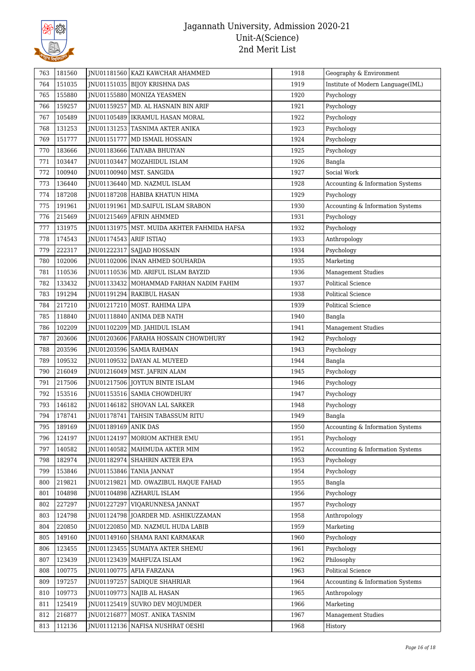

| 763 | 181560 |                         | JNU01181560 KAZI KAWCHAR AHAMMED              | 1918 | Geography & Environment           |
|-----|--------|-------------------------|-----------------------------------------------|------|-----------------------------------|
| 764 | 151035 |                         | JNU01151035 BIJOY KRISHNA DAS                 | 1919 | Institute of Modern Language(IML) |
| 765 | 155880 |                         | JNU01155880 MONIZA YEASMEN                    | 1920 | Psychology                        |
| 766 | 159257 |                         | JNU01159257   MD. AL HASNAIN BIN ARIF         | 1921 | Psychology                        |
| 767 | 105489 |                         | JNU01105489   IKRAMUL HASAN MORAL             | 1922 | Psychology                        |
| 768 | 131253 |                         | JNU01131253 TASNIMA AKTER ANIKA               | 1923 | Psychology                        |
| 769 | 151777 |                         | JNU01151777 MD ISMAIL HOSSAIN                 | 1924 | Psychology                        |
| 770 | 183666 |                         | JNU01183666   TAIYABA BHUIYAN                 | 1925 | Psychology                        |
| 771 | 103447 |                         | JNU01103447   MOZAHIDUL ISLAM                 | 1926 | Bangla                            |
| 772 | 100940 |                         | JNU01100940   MST. SANGIDA                    | 1927 | Social Work                       |
| 773 | 136440 |                         | JNU01136440   MD. NAZMUL ISLAM                | 1928 | Accounting & Information Systems  |
| 774 | 187208 |                         | JNU01187208 HABIBA KHATUN HIMA                | 1929 | Psychology                        |
| 775 | 191961 |                         | JNU01191961   MD. SAIFUL ISLAM SRABON         | 1930 | Accounting & Information Systems  |
| 776 | 215469 |                         | JNU01215469 AFRIN AHMMED                      | 1931 | Psychology                        |
| 777 | 131975 |                         | JNU01131975   MST. MUIDA AKHTER FAHMIDA HAFSA | 1932 | Psychology                        |
| 778 | 174543 | JNU01174543 ARIF ISTIAQ |                                               | 1933 | Anthropology                      |
| 779 | 222317 |                         | JNU01222317 SAJJAD HOSSAIN                    | 1934 | Psychology                        |
| 780 | 102006 |                         | JNU01102006   INAN AHMED SOUHARDA             | 1935 | Marketing                         |
| 781 | 110536 |                         | JNU01110536   MD. ARIFUL ISLAM BAYZID         | 1936 | <b>Management Studies</b>         |
| 782 | 133432 |                         | JNU01133432   MOHAMMAD FARHAN NADIM FAHIM     | 1937 | <b>Political Science</b>          |
| 783 | 191294 |                         | JNU01191294   RAKIBUL HASAN                   | 1938 | <b>Political Science</b>          |
| 784 | 217210 |                         | JNU01217210   MOST. RAHIMA LIPA               | 1939 | <b>Political Science</b>          |
| 785 | 118840 |                         | JNU01118840   ANIMA DEB NATH                  | 1940 | Bangla                            |
| 786 | 102209 |                         | JNU01102209   MD. JAHIDUL ISLAM               | 1941 | Management Studies                |
| 787 | 203606 |                         | JNU01203606   FARAHA HOSSAIN CHOWDHURY        | 1942 | Psychology                        |
| 788 | 203596 |                         | JNU01203596   SAMIA RAHMAN                    | 1943 | Psychology                        |
| 789 | 109532 |                         | JNU01109532 DAYAN AL MUYEED                   | 1944 | Bangla                            |
| 790 | 216049 |                         | JNU01216049   MST. JAFRIN ALAM                | 1945 | Psychology                        |
| 791 | 217506 |                         | JNU01217506 JOYTUN BINTE ISLAM                | 1946 | Psychology                        |
| 792 | 153516 |                         | JNU01153516   SAMIA CHOWDHURY                 | 1947 | Psychology                        |
| 793 | 146182 |                         | JNU01146182 SHOVAN LAL SARKER                 | 1948 | Psychology                        |
| 794 | 178741 |                         | JNU01178741 TAHSIN TABASSUM RITU              | 1949 | Bangla                            |
| 795 | 189169 | JNU01189169   ANIK DAS  |                                               | 1950 | Accounting & Information Systems  |
| 796 | 124197 |                         | JNU01124197 MORIOM AKTHER EMU                 | 1951 | Psychology                        |
| 797 | 140582 |                         | JNU01140582   MAHMUDA AKTER MIM               | 1952 | Accounting & Information Systems  |
| 798 | 182974 |                         | JNU01182974 SHAHRIN AKTER EPA                 | 1953 | Psychology                        |
| 799 | 153846 | JNU01153846             | <b>TANIA JANNAT</b>                           | 1954 | Psychology                        |
| 800 | 219821 |                         | JNU01219821   MD. OWAZIBUL HAQUE FAHAD        | 1955 | Bangla                            |
| 801 | 104898 |                         | JNU01104898   AZHARUL ISLAM                   | 1956 | Psychology                        |
| 802 | 227297 | JNU01227297             | VIQARUNNESA JANNAT                            | 1957 | Psychology                        |
| 803 | 124798 |                         | JNU01124798 JOARDER MD. ASHIKUZZAMAN          | 1958 | Anthropology                      |
| 804 | 220850 |                         | JNU01220850 MD. NAZMUL HUDA LABIB             | 1959 | Marketing                         |
| 805 | 149160 |                         | JNU01149160   SHAMA RANI KARMAKAR             | 1960 | Psychology                        |
| 806 | 123455 |                         | JNU01123455   SUMAIYA AKTER SHEMU             | 1961 | Psychology                        |
| 807 | 123439 |                         | JNU01123439   MAHFUZA ISLAM                   | 1962 | Philosophy                        |
| 808 | 100775 |                         | JNU01100775 AFIA FARZANA                      | 1963 | Political Science                 |
| 809 | 197257 |                         | JNU01197257 SADIQUE SHAHRIAR                  | 1964 | Accounting & Information Systems  |
| 810 | 109773 |                         | JNU01109773 NAJIB AL HASAN                    | 1965 | Anthropology                      |
| 811 | 125419 |                         | JNU01125419 SUVRO DEV MOJUMDER                | 1966 | Marketing                         |
| 812 | 216877 | JNU01216877             | MOST. ANIKA TASNIM                            | 1967 | <b>Management Studies</b>         |
| 813 | 112136 |                         | JNU01112136   NAFISA NUSHRAT OESHI            | 1968 | History                           |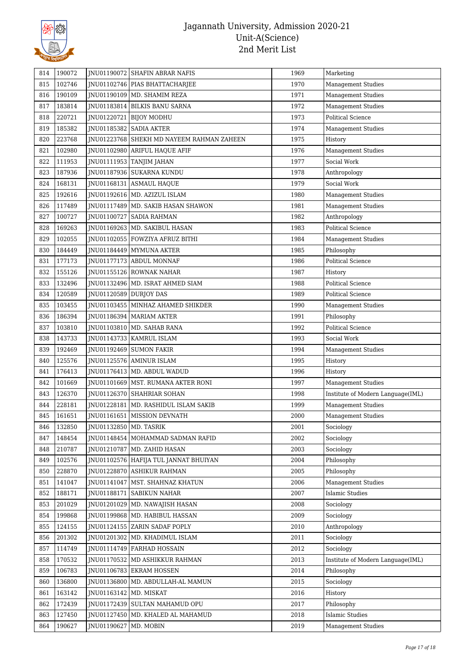

| 814        | 190072 |                          | JNU01190072 SHAFIN ABRAR NAFIS                            | 1969         | Marketing                                           |
|------------|--------|--------------------------|-----------------------------------------------------------|--------------|-----------------------------------------------------|
| 815        | 102746 |                          | JNU01102746   PIAS BHATTACHARJEE                          | 1970         | Management Studies                                  |
| 816        | 190109 |                          | JNU01190109 MD. SHAMIM REZA                               | 1971         | <b>Management Studies</b>                           |
| 817        | 183814 |                          | JNU01183814 BILKIS BANU SARNA                             | 1972         | <b>Management Studies</b>                           |
| 818        | 220721 | JNU01220721              | <b>BIJOY MODHU</b>                                        | 1973         | <b>Political Science</b>                            |
| 819        | 185382 |                          | JNU01185382 SADIA AKTER                                   | 1974         | <b>Management Studies</b>                           |
| 820        | 223768 |                          | JNU01223768 SHEKH MD NAYEEM RAHMAN ZAHEEN                 | 1975         | History                                             |
| 821        | 102980 |                          | JNU01102980 ARIFUL HAQUE AFIF                             | 1976         | Management Studies                                  |
| 822        | 111953 |                          | JNU01111953 TANJIM JAHAN                                  | 1977         | Social Work                                         |
| 823        | 187936 |                          | JNU01187936   SUKARNA KUNDU                               | 1978         | Anthropology                                        |
| 824        | 168131 |                          | JNU01168131 ASMAUL HAQUE                                  | 1979         | Social Work                                         |
| 825        | 192616 |                          | JNU01192616   MD. AZIZUL ISLAM                            | 1980         | <b>Management Studies</b>                           |
| 826        | 117489 |                          | JNU01117489   MD. SAKIB HASAN SHAWON                      | 1981         | <b>Management Studies</b>                           |
| 827        | 100727 |                          | JNU01100727 SADIA RAHMAN                                  | 1982         | Anthropology                                        |
| 828        | 169263 |                          | JNU01169263 MD. SAKIBUL HASAN                             | 1983         | <b>Political Science</b>                            |
| 829        | 102055 |                          | JNU01102055   FOWZIYA AFRUZ BITHI                         | 1984         | <b>Management Studies</b>                           |
| 830        | 184449 |                          | JNU01184449 MYMUNA AKTER                                  | 1985         | Philosophy                                          |
| 831        | 177173 |                          | JNU01177173 ABDUL MONNAF                                  | 1986         | <b>Political Science</b>                            |
| 832        | 155126 |                          | JNU01155126 ROWNAK NAHAR                                  | 1987         | History                                             |
| 833        | 132496 |                          | JNU01132496   MD. ISRAT AHMED SIAM                        | 1988         | <b>Political Science</b>                            |
| 834        | 120589 | JNU01120589 DURJOY DAS   |                                                           | 1989         | <b>Political Science</b>                            |
| 835        | 103455 |                          | JNU01103455   MINHAZ AHAMED SHIKDER                       | 1990         | <b>Management Studies</b>                           |
| 836        | 186394 |                          | JNU01186394   MARIAM AKTER                                | 1991         | Philosophy                                          |
| 837        | 103810 |                          | JNU01103810   MD. SAHAB RANA                              | 1992         | <b>Political Science</b>                            |
| 838        | 143733 |                          | JNU01143733   KAMRUL ISLAM                                | 1993         | Social Work                                         |
| 839        | 192469 |                          | JNU01192469 SUMON FAKIR                                   | 1994         | <b>Management Studies</b>                           |
| 840        | 125576 |                          | JNU01125576 AMINUR ISLAM                                  | 1995         | History                                             |
| 841        | 176413 |                          | JNU01176413   MD. ABDUL WADUD                             | 1996         | History                                             |
| 842        | 101669 |                          | JNU01101669   MST. RUMANA AKTER RONI                      | 1997         | <b>Management Studies</b>                           |
| 843        | 126370 |                          | JNU01126370 SHAHRIAR SOHAN                                | 1998         | Institute of Modern Language(IML)                   |
| 844        | 228181 |                          | JNU01228181   MD. RASHIDUL ISLAM SAKIB                    | 1999         | <b>Management Studies</b>                           |
| 845        | 161651 |                          | JNU01161651   MISSION DEVNATH                             | 2000         | <b>Management Studies</b>                           |
| 846        | 132850 | JNU01132850   MD. TASRIK |                                                           | 2001         | Sociology                                           |
| 847        | 148454 |                          | JNU01148454 MOHAMMAD SADMAN RAFID                         | 2002         | Sociology                                           |
|            | 210787 |                          | JNU01210787 MD. ZAHID HASAN                               | 2003         | Sociology                                           |
| 848<br>849 | 102576 |                          | JNU01102576 HAFIJA TUL JANNAT BHUIYAN                     | 2004         | Philosophy                                          |
| 850        | 228870 |                          | JNU01228870 ASHIKUR RAHMAN                                | 2005         | Philosophy                                          |
|            | 141047 |                          |                                                           | 2006         |                                                     |
| 851        | 188171 | INU01188171              | JNU01141047   MST. SHAHNAZ KHATUN<br><b>SABIKUN NAHAR</b> | 2007         | <b>Management Studies</b><br><b>Islamic Studies</b> |
| 852        | 201029 |                          |                                                           |              | Sociology                                           |
| 853        |        | JNU01201029              | MD. NAWAJISH HASAN<br>JNU01199868 MD. HABIBUL HASSAN      | 2008<br>2009 |                                                     |
| 854        | 199868 |                          |                                                           |              | Sociology                                           |
| 855        | 124155 |                          | JNU01124155 ZARIN SADAF POPLY                             | 2010         | Anthropology                                        |
| 856        | 201302 |                          | JNU01201302   MD. KHADIMUL ISLAM                          | 2011         | Sociology                                           |
| 857        | 114749 |                          | JNU01114749   FARHAD HOSSAIN                              | 2012         | Sociology                                           |
| 858        | 170532 |                          | JNU01170532 MD ASHIKKUR RAHMAN                            | 2013         | Institute of Modern Language(IML)                   |
| 859        | 106783 |                          | JNU01106783 EKRAM HOSSEN                                  | 2014         | Philosophy                                          |
| 860        | 136800 |                          | JNU01136800   MD. ABDULLAH-AL MAMUN                       | 2015         | Sociology                                           |
| 861        | 163142 | JNU01163142   MD. MISKAT |                                                           | 2016         | History                                             |
| 862        | 172439 |                          | JNU01172439 SULTAN MAHAMUD OPU                            | 2017         | Philosophy                                          |
| 863        | 127450 |                          | JNU01127450   MD. KHALED AL MAHAMUD                       | 2018         | <b>Islamic Studies</b>                              |
| 864        | 190627 | JNU01190627              | MD. MOBIN                                                 | 2019         | <b>Management Studies</b>                           |